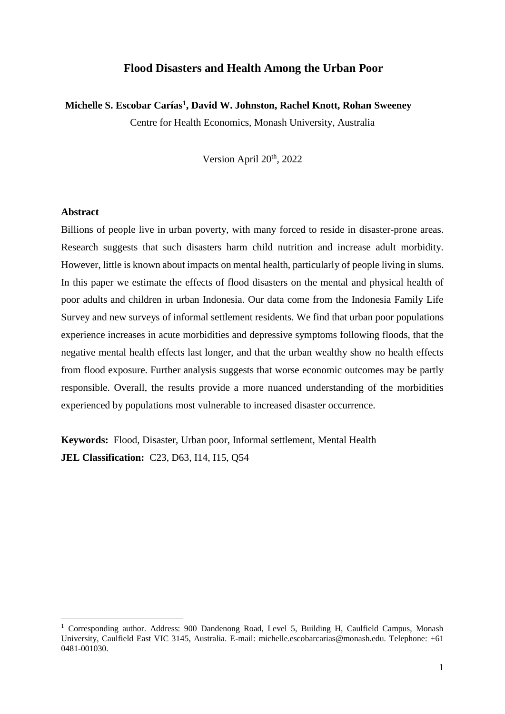# **Flood Disasters and Health Among the Urban Poor**

# **Michelle S. Escobar Carías<sup>1</sup> , David W. Johnston, Rachel Knott, Rohan Sweeney**

Centre for Health Economics, Monash University, Australia

Version April 20<sup>th</sup>, 2022

## **Abstract**

**.** 

Billions of people live in urban poverty, with many forced to reside in disaster-prone areas. Research suggests that such disasters harm child nutrition and increase adult morbidity. However, little is known about impacts on mental health, particularly of people living in slums. In this paper we estimate the effects of flood disasters on the mental and physical health of poor adults and children in urban Indonesia. Our data come from the Indonesia Family Life Survey and new surveys of informal settlement residents. We find that urban poor populations experience increases in acute morbidities and depressive symptoms following floods, that the negative mental health effects last longer, and that the urban wealthy show no health effects from flood exposure. Further analysis suggests that worse economic outcomes may be partly responsible. Overall, the results provide a more nuanced understanding of the morbidities experienced by populations most vulnerable to increased disaster occurrence.

**Keywords:** Flood, Disaster, Urban poor, Informal settlement, Mental Health **JEL Classification:** C23, D63, I14, I15, Q54

<sup>&</sup>lt;sup>1</sup> Corresponding author. Address: 900 Dandenong Road, Level 5, Building H, Caulfield Campus, Monash University, Caulfield East VIC 3145, Australia. E-mail: michelle.escobarcarias@monash.edu. Telephone: +61 0481-001030.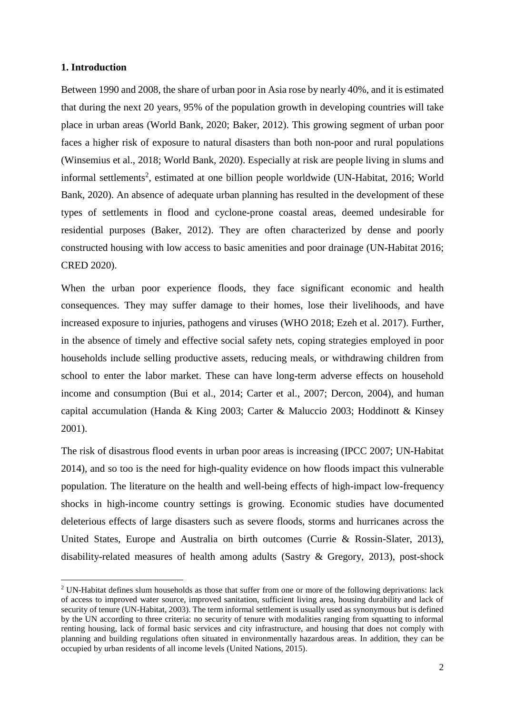# **1. Introduction**

**.** 

Between 1990 and 2008, the share of urban poor in Asia rose by nearly 40%, and it is estimated that during the next 20 years, 95% of the population growth in developing countries will take place in urban areas (World Bank, 2020; Baker, 2012). This growing segment of urban poor faces a higher risk of exposure to natural disasters than both non-poor and rural populations (Winsemius et al., 2018; World Bank, 2020). Especially at risk are people living in slums and informal settlements<sup>2</sup>, estimated at one billion people worldwide (UN-Habitat, 2016; World Bank, 2020). An absence of adequate urban planning has resulted in the development of these types of settlements in flood and cyclone-prone coastal areas, deemed undesirable for residential purposes (Baker, 2012). They are often characterized by dense and poorly constructed housing with low access to basic amenities and poor drainage (UN-Habitat 2016; CRED 2020).

When the urban poor experience floods, they face significant economic and health consequences. They may suffer damage to their homes, lose their livelihoods, and have increased exposure to injuries, pathogens and viruses (WHO 2018; Ezeh et al. 2017). Further, in the absence of timely and effective social safety nets, coping strategies employed in poor households include selling productive assets, reducing meals, or withdrawing children from school to enter the labor market. These can have long-term adverse effects on household income and consumption (Bui et al., 2014; Carter et al., 2007; Dercon, 2004), and human capital accumulation (Handa & King 2003; Carter & Maluccio 2003; Hoddinott & Kinsey 2001).

The risk of disastrous flood events in urban poor areas is increasing (IPCC 2007; UN-Habitat 2014), and so too is the need for high-quality evidence on how floods impact this vulnerable population. The literature on the health and well-being effects of high-impact low-frequency shocks in high-income country settings is growing. Economic studies have documented deleterious effects of large disasters such as severe floods, storms and hurricanes across the United States, Europe and Australia on birth outcomes (Currie & Rossin-Slater, 2013), disability-related measures of health among adults (Sastry & Gregory, 2013), post-shock

<sup>&</sup>lt;sup>2</sup> UN-Habitat defines slum households as those that suffer from one or more of the following deprivations: lack of access to improved water source, improved sanitation, sufficient living area, housing durability and lack of security of tenure (UN-Habitat, 2003). The term informal settlement is usually used as synonymous but is defined by the UN according to three criteria: no security of tenure with modalities ranging from squatting to informal renting housing, lack of formal basic services and city infrastructure, and housing that does not comply with planning and building regulations often situated in environmentally hazardous areas. In addition, they can be occupied by urban residents of all income levels (United Nations, 2015).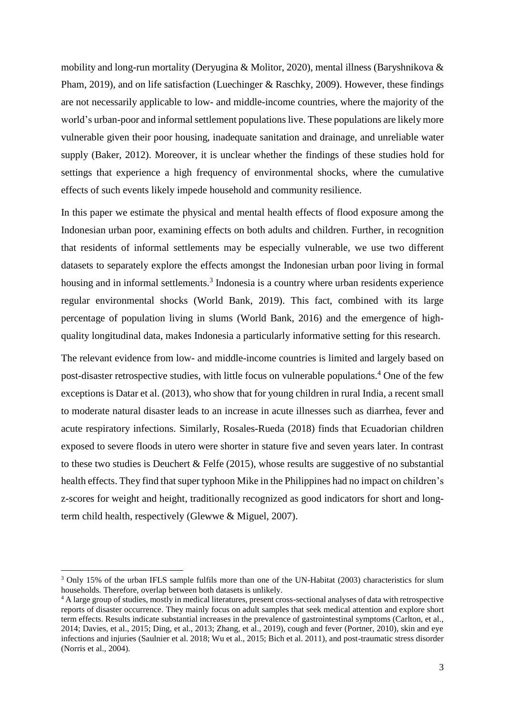mobility and long-run mortality (Deryugina & Molitor, 2020), mental illness (Baryshnikova & Pham, 2019), and on life satisfaction (Luechinger & Raschky, 2009). However, these findings are not necessarily applicable to low- and middle-income countries, where the majority of the world's urban-poor and informal settlement populations live. These populations are likely more vulnerable given their poor housing, inadequate sanitation and drainage, and unreliable water supply (Baker, 2012). Moreover, it is unclear whether the findings of these studies hold for settings that experience a high frequency of environmental shocks, where the cumulative effects of such events likely impede household and community resilience.

In this paper we estimate the physical and mental health effects of flood exposure among the Indonesian urban poor, examining effects on both adults and children. Further, in recognition that residents of informal settlements may be especially vulnerable, we use two different datasets to separately explore the effects amongst the Indonesian urban poor living in formal housing and in informal settlements.<sup>3</sup> Indonesia is a country where urban residents experience regular environmental shocks (World Bank, 2019). This fact, combined with its large percentage of population living in slums (World Bank, 2016) and the emergence of highquality longitudinal data, makes Indonesia a particularly informative setting for this research.

The relevant evidence from low- and middle-income countries is limited and largely based on post-disaster retrospective studies, with little focus on vulnerable populations.<sup>4</sup> One of the few exceptions is Datar et al. (2013), who show that for young children in rural India, a recent small to moderate natural disaster leads to an increase in acute illnesses such as diarrhea, fever and acute respiratory infections. Similarly, Rosales-Rueda (2018) finds that Ecuadorian children exposed to severe floods in utero were shorter in stature five and seven years later. In contrast to these two studies is Deuchert & Felfe (2015), whose results are suggestive of no substantial health effects. They find that super typhoon Mike in the Philippines had no impact on children's z-scores for weight and height, traditionally recognized as good indicators for short and longterm child health, respectively (Glewwe & Miguel, 2007).

1

<sup>&</sup>lt;sup>3</sup> Only 15% of the urban IFLS sample fulfils more than one of the UN-Habitat (2003) characteristics for slum households. Therefore, overlap between both datasets is unlikely.

<sup>4</sup> A large group of studies, mostly in medical literatures, present cross-sectional analyses of data with retrospective reports of disaster occurrence. They mainly focus on adult samples that seek medical attention and explore short term effects. Results indicate substantial increases in the prevalence of gastrointestinal symptoms (Carlton, et al., 2014; Davies, et al., 2015; Ding, et al., 2013; Zhang, et al., 2019), cough and fever (Portner, 2010), skin and eye infections and injuries (Saulnier et al. 2018; Wu et al., 2015; Bich et al. 2011), and post-traumatic stress disorder (Norris et al., 2004).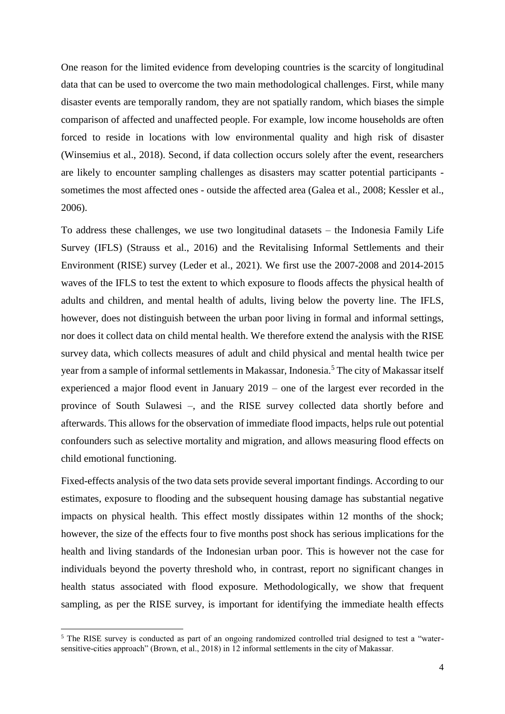One reason for the limited evidence from developing countries is the scarcity of longitudinal data that can be used to overcome the two main methodological challenges. First, while many disaster events are temporally random, they are not spatially random, which biases the simple comparison of affected and unaffected people. For example, low income households are often forced to reside in locations with low environmental quality and high risk of disaster (Winsemius et al., 2018). Second, if data collection occurs solely after the event, researchers are likely to encounter sampling challenges as disasters may scatter potential participants sometimes the most affected ones - outside the affected area (Galea et al., 2008; Kessler et al., 2006).

To address these challenges, we use two longitudinal datasets – the Indonesia Family Life Survey (IFLS) (Strauss et al., 2016) and the Revitalising Informal Settlements and their Environment (RISE) survey (Leder et al., 2021). We first use the 2007-2008 and 2014-2015 waves of the IFLS to test the extent to which exposure to floods affects the physical health of adults and children, and mental health of adults, living below the poverty line. The IFLS, however, does not distinguish between the urban poor living in formal and informal settings, nor does it collect data on child mental health. We therefore extend the analysis with the RISE survey data, which collects measures of adult and child physical and mental health twice per year from a sample of informal settlements in Makassar, Indonesia.<sup>5</sup> The city of Makassar itself experienced a major flood event in January 2019 – one of the largest ever recorded in the province of South Sulawesi –, and the RISE survey collected data shortly before and afterwards. This allows for the observation of immediate flood impacts, helps rule out potential confounders such as selective mortality and migration, and allows measuring flood effects on child emotional functioning.

Fixed-effects analysis of the two data sets provide several important findings. According to our estimates, exposure to flooding and the subsequent housing damage has substantial negative impacts on physical health. This effect mostly dissipates within 12 months of the shock; however, the size of the effects four to five months post shock has serious implications for the health and living standards of the Indonesian urban poor. This is however not the case for individuals beyond the poverty threshold who, in contrast, report no significant changes in health status associated with flood exposure. Methodologically, we show that frequent sampling, as per the RISE survey, is important for identifying the immediate health effects

1

<sup>&</sup>lt;sup>5</sup> The RISE survey is conducted as part of an ongoing randomized controlled trial designed to test a "watersensitive-cities approach" (Brown, et al., 2018) in 12 informal settlements in the city of Makassar.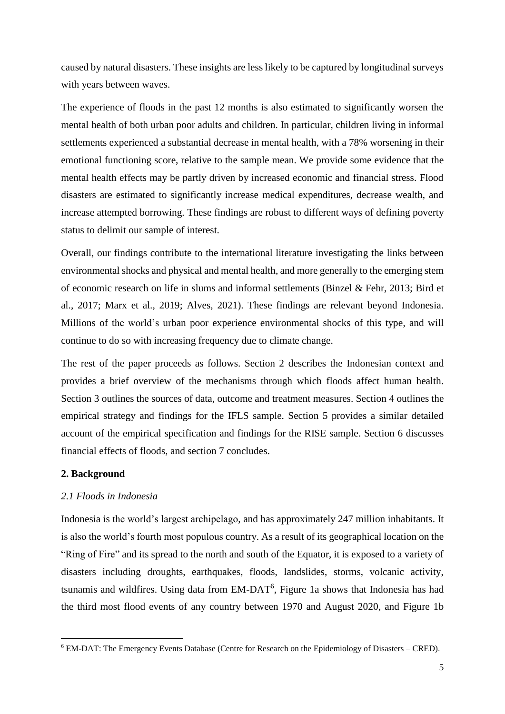caused by natural disasters. These insights are less likely to be captured by longitudinal surveys with years between waves.

The experience of floods in the past 12 months is also estimated to significantly worsen the mental health of both urban poor adults and children. In particular, children living in informal settlements experienced a substantial decrease in mental health, with a 78% worsening in their emotional functioning score, relative to the sample mean. We provide some evidence that the mental health effects may be partly driven by increased economic and financial stress. Flood disasters are estimated to significantly increase medical expenditures, decrease wealth, and increase attempted borrowing. These findings are robust to different ways of defining poverty status to delimit our sample of interest.

Overall, our findings contribute to the international literature investigating the links between environmental shocks and physical and mental health, and more generally to the emerging stem of economic research on life in slums and informal settlements (Binzel & Fehr, 2013; Bird et al., 2017; Marx et al., 2019; Alves, 2021). These findings are relevant beyond Indonesia. Millions of the world's urban poor experience environmental shocks of this type, and will continue to do so with increasing frequency due to climate change.

The rest of the paper proceeds as follows. Section 2 describes the Indonesian context and provides a brief overview of the mechanisms through which floods affect human health. Section 3 outlines the sources of data, outcome and treatment measures. Section 4 outlines the empirical strategy and findings for the IFLS sample. Section 5 provides a similar detailed account of the empirical specification and findings for the RISE sample. Section 6 discusses financial effects of floods, and section 7 concludes.

### **2. Background**

**.** 

# *2.1 Floods in Indonesia*

Indonesia is the world's largest archipelago, and has approximately 247 million inhabitants. It is also the world's fourth most populous country. As a result of its geographical location on the "Ring of Fire" and its spread to the north and south of the Equator, it is exposed to a variety of disasters including droughts, earthquakes, floods, landslides, storms, volcanic activity, tsunamis and wildfires. Using data from EM-DAT<sup>6</sup>, Figure 1a shows that Indonesia has had the third most flood events of any country between 1970 and August 2020, and Figure 1b

<sup>6</sup> EM-DAT: The Emergency Events Database (Centre for Research on the Epidemiology of Disasters – CRED).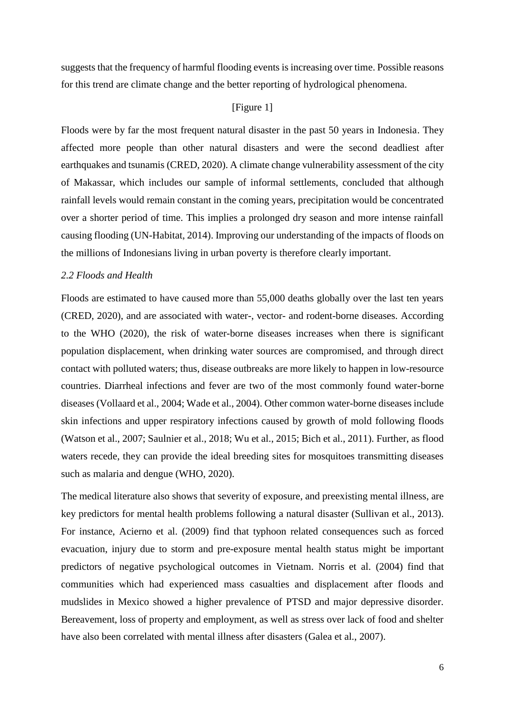suggests that the frequency of harmful flooding events is increasing over time. Possible reasons for this trend are climate change and the better reporting of hydrological phenomena.

# [Figure 1]

Floods were by far the most frequent natural disaster in the past 50 years in Indonesia. They affected more people than other natural disasters and were the second deadliest after earthquakes and tsunamis (CRED, 2020). A climate change vulnerability assessment of the city of Makassar, which includes our sample of informal settlements, concluded that although rainfall levels would remain constant in the coming years, precipitation would be concentrated over a shorter period of time. This implies a prolonged dry season and more intense rainfall causing flooding (UN-Habitat, 2014). Improving our understanding of the impacts of floods on the millions of Indonesians living in urban poverty is therefore clearly important.

# *2.2 Floods and Health*

Floods are estimated to have caused more than 55,000 deaths globally over the last ten years (CRED, 2020), and are associated with water-, vector- and rodent-borne diseases. According to the WHO (2020), the risk of water-borne diseases increases when there is significant population displacement, when drinking water sources are compromised, and through direct contact with polluted waters; thus, disease outbreaks are more likely to happen in low-resource countries. Diarrheal infections and fever are two of the most commonly found water-borne diseases (Vollaard et al., 2004; Wade et al., 2004). Other common water-borne diseases include skin infections and upper respiratory infections caused by growth of mold following floods (Watson et al., 2007; Saulnier et al., 2018; Wu et al., 2015; Bich et al., 2011). Further, as flood waters recede, they can provide the ideal breeding sites for mosquitoes transmitting diseases such as malaria and dengue (WHO, 2020).

The medical literature also shows that severity of exposure, and preexisting mental illness, are key predictors for mental health problems following a natural disaster (Sullivan et al., 2013). For instance, Acierno et al. (2009) find that typhoon related consequences such as forced evacuation, injury due to storm and pre-exposure mental health status might be important predictors of negative psychological outcomes in Vietnam. Norris et al. (2004) find that communities which had experienced mass casualties and displacement after floods and mudslides in Mexico showed a higher prevalence of PTSD and major depressive disorder. Bereavement, loss of property and employment, as well as stress over lack of food and shelter have also been correlated with mental illness after disasters (Galea et al., 2007).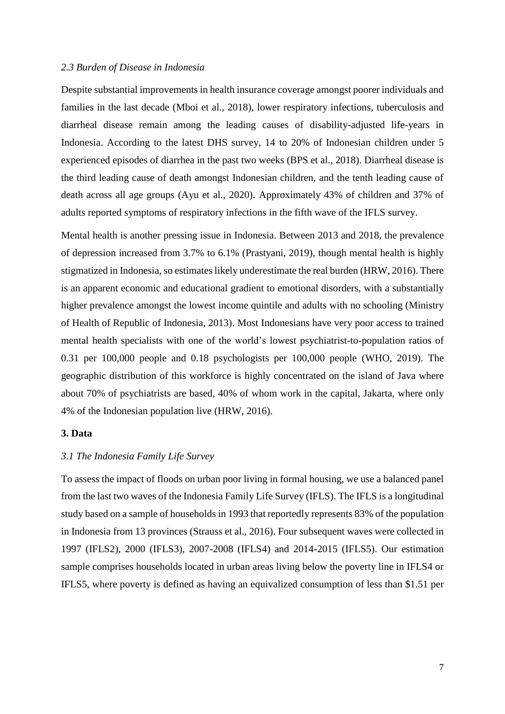## *2.3 Burden of Disease in Indonesia*

Despite substantial improvements in health insurance coverage amongst poorer individuals and families in the last decade (Mboi et al., 2018), lower respiratory infections, tuberculosis and diarrheal disease remain among the leading causes of disability-adjusted life-years in Indonesia. According to the latest DHS survey, 14 to 20% of Indonesian children under 5 experienced episodes of diarrhea in the past two weeks (BPS et al., 2018). Diarrheal disease is the third leading cause of death amongst Indonesian children, and the tenth leading cause of death across all age groups (Ayu et al., 2020). Approximately 43% of children and 37% of adults reported symptoms of respiratory infections in the fifth wave of the IFLS survey.

Mental health is another pressing issue in Indonesia. Between 2013 and 2018, the prevalence of depression increased from 3.7% to 6.1% (Prastyani, 2019), though mental health is highly stigmatized in Indonesia, so estimates likely underestimate the real burden (HRW, 2016). There is an apparent economic and educational gradient to emotional disorders, with a substantially higher prevalence amongst the lowest income quintile and adults with no schooling (Ministry of Health of Republic of Indonesia, 2013). Most Indonesians have very poor access to trained mental health specialists with one of the world's lowest psychiatrist-to-population ratios of 0.31 per 100,000 people and 0.18 psychologists per 100,000 people (WHO, 2019). The geographic distribution of this workforce is highly concentrated on the island of Java where about 70% of psychiatrists are based, 40% of whom work in the capital, Jakarta, where only 4% of the Indonesian population live (HRW, 2016).

# **3. Data**

#### *3.1 The Indonesia Family Life Survey*

To assess the impact of floods on urban poor living in formal housing, we use a balanced panel from the last two waves of the Indonesia Family Life Survey (IFLS). The IFLS is a longitudinal study based on a sample of households in 1993 that reportedly represents 83% of the population in Indonesia from 13 provinces (Strauss et al., 2016). Four subsequent waves were collected in 1997 (IFLS2), 2000 (IFLS3), 2007-2008 (IFLS4) and 2014-2015 (IFLS5). Our estimation sample comprises households located in urban areas living below the poverty line in IFLS4 or IFLS5, where poverty is defined as having an equivalized consumption of less than \$1.51 per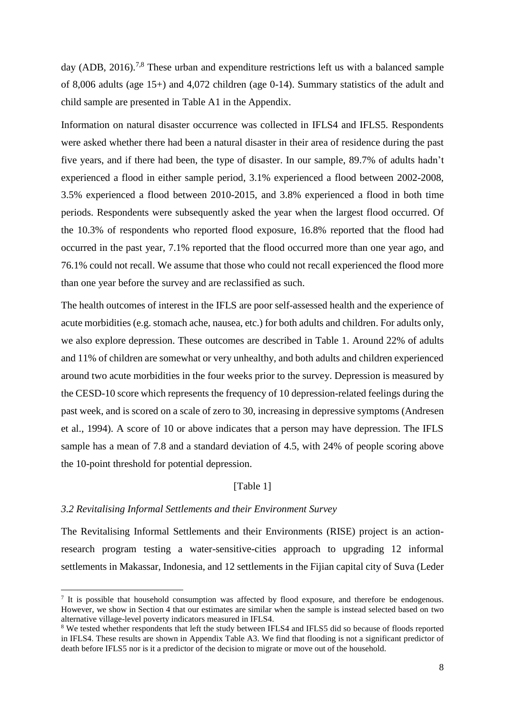day (ADB, 2016).<sup>7,8</sup> These urban and expenditure restrictions left us with a balanced sample of 8,006 adults (age 15+) and 4,072 children (age 0-14). Summary statistics of the adult and child sample are presented in Table A1 in the Appendix.

Information on natural disaster occurrence was collected in IFLS4 and IFLS5. Respondents were asked whether there had been a natural disaster in their area of residence during the past five years, and if there had been, the type of disaster. In our sample, 89.7% of adults hadn't experienced a flood in either sample period, 3.1% experienced a flood between 2002-2008, 3.5% experienced a flood between 2010-2015, and 3.8% experienced a flood in both time periods. Respondents were subsequently asked the year when the largest flood occurred. Of the 10.3% of respondents who reported flood exposure, 16.8% reported that the flood had occurred in the past year, 7.1% reported that the flood occurred more than one year ago, and 76.1% could not recall. We assume that those who could not recall experienced the flood more than one year before the survey and are reclassified as such.

The health outcomes of interest in the IFLS are poor self-assessed health and the experience of acute morbidities (e.g. stomach ache, nausea, etc.) for both adults and children. For adults only, we also explore depression. These outcomes are described in Table 1. Around 22% of adults and 11% of children are somewhat or very unhealthy, and both adults and children experienced around two acute morbidities in the four weeks prior to the survey. Depression is measured by the CESD-10 score which represents the frequency of 10 depression-related feelings during the past week, and is scored on a scale of zero to 30, increasing in depressive symptoms (Andresen et al., 1994). A score of 10 or above indicates that a person may have depression. The IFLS sample has a mean of 7.8 and a standard deviation of 4.5, with 24% of people scoring above the 10-point threshold for potential depression.

# [Table 1]

### *3.2 Revitalising Informal Settlements and their Environment Survey*

**.** 

The Revitalising Informal Settlements and their Environments (RISE) project is an actionresearch program testing a water-sensitive-cities approach to upgrading 12 informal settlements in Makassar, Indonesia, and 12 settlements in the Fijian capital city of Suva (Leder

<sup>&</sup>lt;sup>7</sup> It is possible that household consumption was affected by flood exposure, and therefore be endogenous. However, we show in Section 4 that our estimates are similar when the sample is instead selected based on two alternative village-level poverty indicators measured in IFLS4.

<sup>&</sup>lt;sup>8</sup> We tested whether respondents that left the study between IFLS4 and IFLS5 did so because of floods reported in IFLS4. These results are shown in Appendix Table A3. We find that flooding is not a significant predictor of death before IFLS5 nor is it a predictor of the decision to migrate or move out of the household.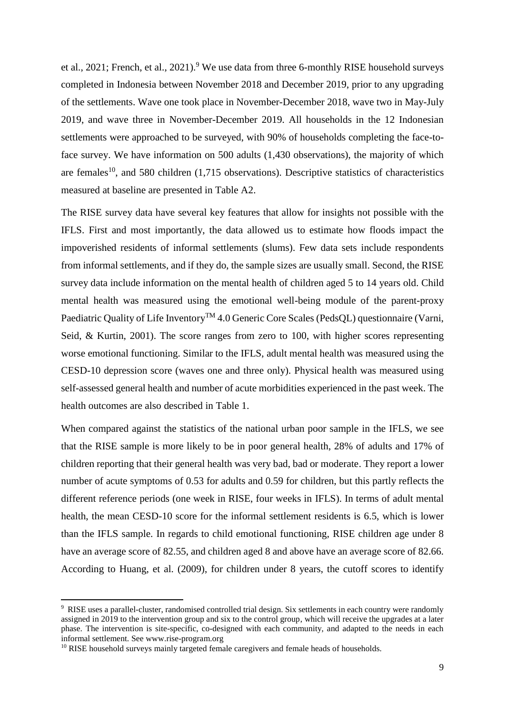et al., 2021; French, et al., 2021).<sup>9</sup> We use data from three 6-monthly RISE household surveys completed in Indonesia between November 2018 and December 2019, prior to any upgrading of the settlements. Wave one took place in November-December 2018, wave two in May-July 2019, and wave three in November-December 2019. All households in the 12 Indonesian settlements were approached to be surveyed, with 90% of households completing the face-toface survey. We have information on 500 adults (1,430 observations), the majority of which are females<sup>10</sup>, and 580 children  $(1,715)$  observations). Descriptive statistics of characteristics measured at baseline are presented in Table A2.

The RISE survey data have several key features that allow for insights not possible with the IFLS. First and most importantly, the data allowed us to estimate how floods impact the impoverished residents of informal settlements (slums). Few data sets include respondents from informal settlements, and if they do, the sample sizes are usually small. Second, the RISE survey data include information on the mental health of children aged 5 to 14 years old. Child mental health was measured using the emotional well-being module of the parent-proxy Paediatric Quality of Life Inventory<sup>™</sup> 4.0 Generic Core Scales (PedsQL) questionnaire (Varni, Seid, & Kurtin, 2001). The score ranges from zero to 100, with higher scores representing worse emotional functioning. Similar to the IFLS, adult mental health was measured using the CESD-10 depression score (waves one and three only). Physical health was measured using self-assessed general health and number of acute morbidities experienced in the past week. The health outcomes are also described in Table 1.

When compared against the statistics of the national urban poor sample in the IFLS, we see that the RISE sample is more likely to be in poor general health, 28% of adults and 17% of children reporting that their general health was very bad, bad or moderate. They report a lower number of acute symptoms of 0.53 for adults and 0.59 for children, but this partly reflects the different reference periods (one week in RISE, four weeks in IFLS). In terms of adult mental health, the mean CESD-10 score for the informal settlement residents is 6.5, which is lower than the IFLS sample. In regards to child emotional functioning, RISE children age under 8 have an average score of 82.55, and children aged 8 and above have an average score of 82.66. According to Huang, et al. (2009), for children under 8 years, the cutoff scores to identify

1

<sup>9</sup> RISE uses a parallel-cluster, randomised controlled trial design. Six settlements in each country were randomly assigned in 2019 to the intervention group and six to the control group, which will receive the upgrades at a later phase. The intervention is site-specific, co-designed with each community, and adapted to the needs in each informal settlement. See www.rise-program.org

<sup>&</sup>lt;sup>10</sup> RISE household surveys mainly targeted female caregivers and female heads of households.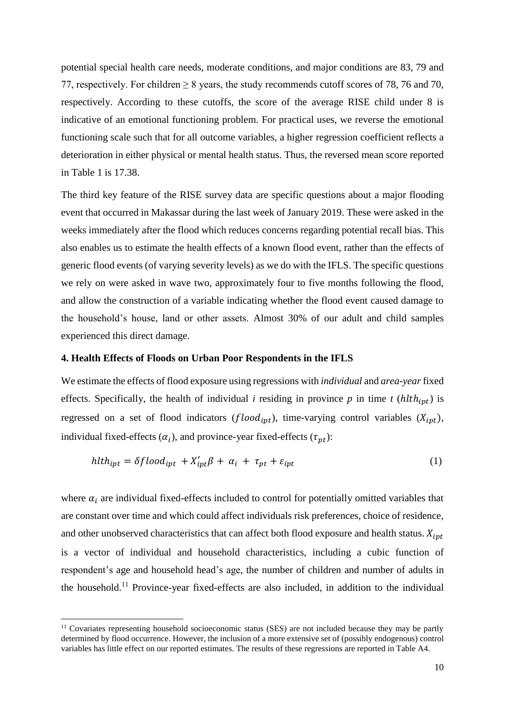potential special health care needs, moderate conditions, and major conditions are 83, 79 and 77, respectively. For children  $\geq 8$  years, the study recommends cutoff scores of 78, 76 and 70, respectively. According to these cutoffs, the score of the average RISE child under 8 is indicative of an emotional functioning problem. For practical uses, we reverse the emotional functioning scale such that for all outcome variables, a higher regression coefficient reflects a deterioration in either physical or mental health status. Thus, the reversed mean score reported in Table 1 is 17.38.

The third key feature of the RISE survey data are specific questions about a major flooding event that occurred in Makassar during the last week of January 2019. These were asked in the weeks immediately after the flood which reduces concerns regarding potential recall bias. This also enables us to estimate the health effects of a known flood event, rather than the effects of generic flood events (of varying severity levels) as we do with the IFLS. The specific questions we rely on were asked in wave two, approximately four to five months following the flood, and allow the construction of a variable indicating whether the flood event caused damage to the household's house, land or other assets. Almost 30% of our adult and child samples experienced this direct damage.

# **4. Health Effects of Floods on Urban Poor Respondents in the IFLS**

We estimate the effects of flood exposure using regressions with *individual* and *area-year*fixed effects. Specifically, the health of individual *i* residing in province *p* in time *t* ( $h l t h_{ipt}$ ) is regressed on a set of flood indicators ( $flood_{ipt}$ ), time-varying control variables ( $X_{ipt}$ ), individual fixed-effects  $(\alpha_i)$ , and province-year fixed-effects  $(\tau_{pt})$ :

$$
h l t h_{ipt} = \delta f l o o d_{ipt} + X'_{ipt} \beta + \alpha_i + \tau_{pt} + \varepsilon_{ipt}
$$
\n<sup>(1)</sup>

where  $\alpha_i$  are individual fixed-effects included to control for potentially omitted variables that are constant over time and which could affect individuals risk preferences, choice of residence, and other unobserved characteristics that can affect both flood exposure and health status.  $X_{int}$ is a vector of individual and household characteristics, including a cubic function of respondent's age and household head's age, the number of children and number of adults in the household.<sup>11</sup> Province-year fixed-effects are also included, in addition to the individual

 $\overline{\phantom{a}}$ 

<sup>&</sup>lt;sup>11</sup> Covariates representing household socioeconomic status (SES) are not included because they may be partly determined by flood occurrence. However, the inclusion of a more extensive set of (possibly endogenous) control variables has little effect on our reported estimates. The results of these regressions are reported in Table A4.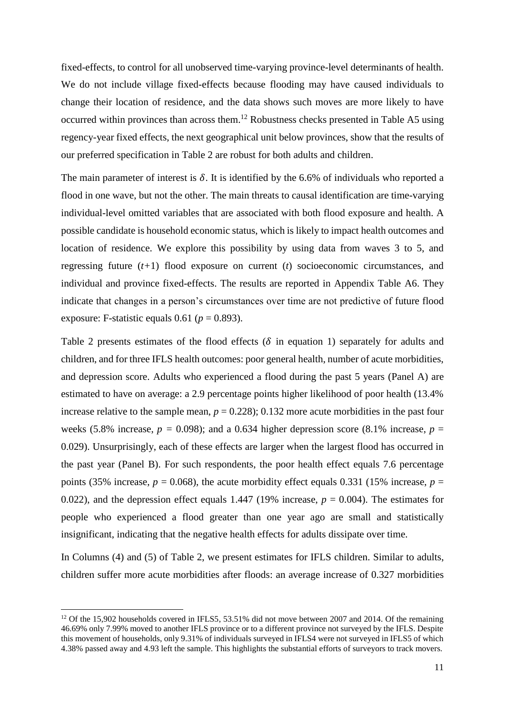fixed-effects, to control for all unobserved time-varying province-level determinants of health. We do not include village fixed-effects because flooding may have caused individuals to change their location of residence, and the data shows such moves are more likely to have occurred within provinces than across them.<sup>12</sup> Robustness checks presented in Table A5 using regency-year fixed effects, the next geographical unit below provinces, show that the results of our preferred specification in Table 2 are robust for both adults and children.

The main parameter of interest is  $\delta$ . It is identified by the 6.6% of individuals who reported a flood in one wave, but not the other. The main threats to causal identification are time-varying individual-level omitted variables that are associated with both flood exposure and health. A possible candidate is household economic status, which is likely to impact health outcomes and location of residence. We explore this possibility by using data from waves 3 to 5, and regressing future (*t+*1) flood exposure on current (*t*) socioeconomic circumstances, and individual and province fixed-effects. The results are reported in Appendix Table A6. They indicate that changes in a person's circumstances over time are not predictive of future flood exposure: F-statistic equals  $0.61$  ( $p = 0.893$ ).

Table 2 presents estimates of the flood effects ( $\delta$  in equation 1) separately for adults and children, and for three IFLS health outcomes: poor general health, number of acute morbidities, and depression score. Adults who experienced a flood during the past 5 years (Panel A) are estimated to have on average: a 2.9 percentage points higher likelihood of poor health (13.4% increase relative to the sample mean,  $p = 0.228$ ; 0.132 more acute morbidities in the past four weeks (5.8% increase,  $p = 0.098$ ); and a 0.634 higher depression score (8.1% increase,  $p =$ 0.029). Unsurprisingly, each of these effects are larger when the largest flood has occurred in the past year (Panel B). For such respondents, the poor health effect equals 7.6 percentage points (35% increase,  $p = 0.068$ ), the acute morbidity effect equals 0.331 (15% increase,  $p =$ 0.022), and the depression effect equals 1.447 (19% increase,  $p = 0.004$ ). The estimates for people who experienced a flood greater than one year ago are small and statistically insignificant, indicating that the negative health effects for adults dissipate over time.

In Columns (4) and (5) of Table 2, we present estimates for IFLS children. Similar to adults, children suffer more acute morbidities after floods: an average increase of 0.327 morbidities

**.** 

<sup>&</sup>lt;sup>12</sup> Of the 15,902 households covered in IFLS5, 53.51% did not move between 2007 and 2014. Of the remaining 46.69% only 7.99% moved to another IFLS province or to a different province not surveyed by the IFLS. Despite this movement of households, only 9.31% of individuals surveyed in IFLS4 were not surveyed in IFLS5 of which 4.38% passed away and 4.93 left the sample. This highlights the substantial efforts of surveyors to track movers.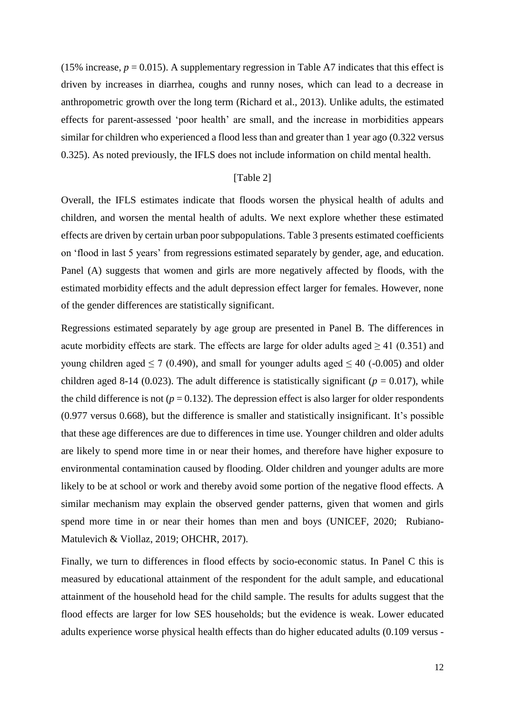(15% increase,  $p = 0.015$ ). A supplementary regression in Table A7 indicates that this effect is driven by increases in diarrhea, coughs and runny noses, which can lead to a decrease in anthropometric growth over the long term (Richard et al., 2013). Unlike adults, the estimated effects for parent-assessed 'poor health' are small, and the increase in morbidities appears similar for children who experienced a flood less than and greater than 1 year ago (0.322 versus 0.325). As noted previously, the IFLS does not include information on child mental health.

#### [Table 2]

Overall, the IFLS estimates indicate that floods worsen the physical health of adults and children, and worsen the mental health of adults. We next explore whether these estimated effects are driven by certain urban poor subpopulations. Table 3 presents estimated coefficients on 'flood in last 5 years' from regressions estimated separately by gender, age, and education. Panel (A) suggests that women and girls are more negatively affected by floods, with the estimated morbidity effects and the adult depression effect larger for females. However, none of the gender differences are statistically significant.

Regressions estimated separately by age group are presented in Panel B. The differences in acute morbidity effects are stark. The effects are large for older adults aged  $\geq 41$  (0.351) and young children aged  $\leq 7$  (0.490), and small for younger adults aged  $\leq 40$  (-0.005) and older children aged 8-14 (0.023). The adult difference is statistically significant ( $p = 0.017$ ), while the child difference is not ( $p = 0.132$ ). The depression effect is also larger for older respondents (0.977 versus 0.668), but the difference is smaller and statistically insignificant. It's possible that these age differences are due to differences in time use. Younger children and older adults are likely to spend more time in or near their homes, and therefore have higher exposure to environmental contamination caused by flooding. Older children and younger adults are more likely to be at school or work and thereby avoid some portion of the negative flood effects. A similar mechanism may explain the observed gender patterns, given that women and girls spend more time in or near their homes than men and boys (UNICEF, 2020; Rubiano-Matulevich & Viollaz, 2019; OHCHR, 2017).

Finally, we turn to differences in flood effects by socio-economic status. In Panel C this is measured by educational attainment of the respondent for the adult sample, and educational attainment of the household head for the child sample. The results for adults suggest that the flood effects are larger for low SES households; but the evidence is weak. Lower educated adults experience worse physical health effects than do higher educated adults (0.109 versus -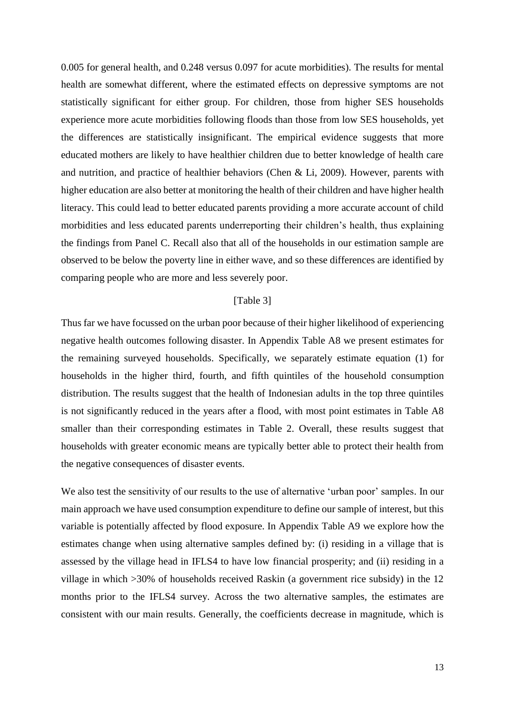0.005 for general health, and 0.248 versus 0.097 for acute morbidities). The results for mental health are somewhat different, where the estimated effects on depressive symptoms are not statistically significant for either group. For children, those from higher SES households experience more acute morbidities following floods than those from low SES households, yet the differences are statistically insignificant. The empirical evidence suggests that more educated mothers are likely to have healthier children due to better knowledge of health care and nutrition, and practice of healthier behaviors (Chen & Li, 2009). However, parents with higher education are also better at monitoring the health of their children and have higher health literacy. This could lead to better educated parents providing a more accurate account of child morbidities and less educated parents underreporting their children's health, thus explaining the findings from Panel C. Recall also that all of the households in our estimation sample are observed to be below the poverty line in either wave, and so these differences are identified by comparing people who are more and less severely poor.

## [Table 3]

Thus far we have focussed on the urban poor because of their higher likelihood of experiencing negative health outcomes following disaster. In Appendix Table A8 we present estimates for the remaining surveyed households. Specifically, we separately estimate equation (1) for households in the higher third, fourth, and fifth quintiles of the household consumption distribution. The results suggest that the health of Indonesian adults in the top three quintiles is not significantly reduced in the years after a flood, with most point estimates in Table A8 smaller than their corresponding estimates in Table 2. Overall, these results suggest that households with greater economic means are typically better able to protect their health from the negative consequences of disaster events.

We also test the sensitivity of our results to the use of alternative 'urban poor' samples. In our main approach we have used consumption expenditure to define our sample of interest, but this variable is potentially affected by flood exposure. In Appendix Table A9 we explore how the estimates change when using alternative samples defined by: (i) residing in a village that is assessed by the village head in IFLS4 to have low financial prosperity; and (ii) residing in a village in which >30% of households received Raskin (a government rice subsidy) in the 12 months prior to the IFLS4 survey. Across the two alternative samples, the estimates are consistent with our main results. Generally, the coefficients decrease in magnitude, which is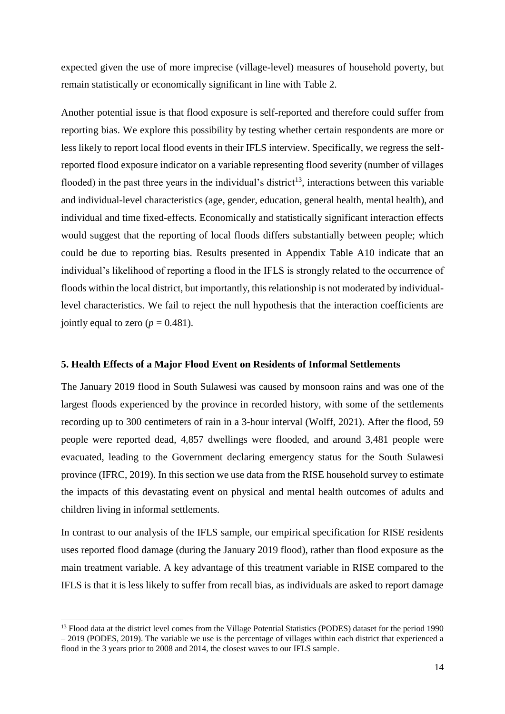expected given the use of more imprecise (village-level) measures of household poverty, but remain statistically or economically significant in line with Table 2.

Another potential issue is that flood exposure is self-reported and therefore could suffer from reporting bias. We explore this possibility by testing whether certain respondents are more or less likely to report local flood events in their IFLS interview. Specifically, we regress the selfreported flood exposure indicator on a variable representing flood severity (number of villages flooded) in the past three years in the individual's district<sup>13</sup>, interactions between this variable and individual-level characteristics (age, gender, education, general health, mental health), and individual and time fixed-effects. Economically and statistically significant interaction effects would suggest that the reporting of local floods differs substantially between people; which could be due to reporting bias. Results presented in Appendix Table A10 indicate that an individual's likelihood of reporting a flood in the IFLS is strongly related to the occurrence of floods within the local district, but importantly, this relationship is not moderated by individuallevel characteristics. We fail to reject the null hypothesis that the interaction coefficients are jointly equal to zero  $(p = 0.481)$ .

#### **5. Health Effects of a Major Flood Event on Residents of Informal Settlements**

The January 2019 flood in South Sulawesi was caused by monsoon rains and was one of the largest floods experienced by the province in recorded history, with some of the settlements recording up to 300 centimeters of rain in a 3-hour interval (Wolff, 2021). After the flood, 59 people were reported dead, 4,857 dwellings were flooded, and around 3,481 people were evacuated, leading to the Government declaring emergency status for the South Sulawesi province (IFRC, 2019). In this section we use data from the RISE household survey to estimate the impacts of this devastating event on physical and mental health outcomes of adults and children living in informal settlements.

In contrast to our analysis of the IFLS sample, our empirical specification for RISE residents uses reported flood damage (during the January 2019 flood), rather than flood exposure as the main treatment variable. A key advantage of this treatment variable in RISE compared to the IFLS is that it is less likely to suffer from recall bias, as individuals are asked to report damage

 $\overline{\phantom{a}}$ 

<sup>&</sup>lt;sup>13</sup> Flood data at the district level comes from the Village Potential Statistics (PODES) dataset for the period 1990 – 2019 (PODES, 2019). The variable we use is the percentage of villages within each district that experienced a flood in the 3 years prior to 2008 and 2014, the closest waves to our IFLS sample.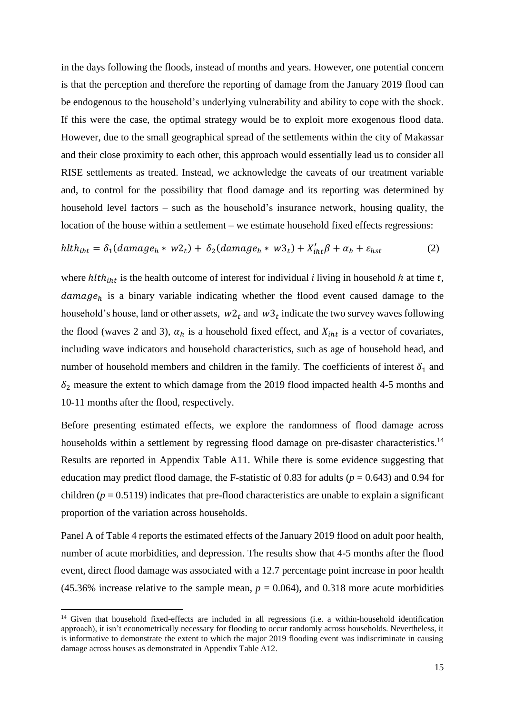in the days following the floods, instead of months and years. However, one potential concern is that the perception and therefore the reporting of damage from the January 2019 flood can be endogenous to the household's underlying vulnerability and ability to cope with the shock. If this were the case, the optimal strategy would be to exploit more exogenous flood data. However, due to the small geographical spread of the settlements within the city of Makassar and their close proximity to each other, this approach would essentially lead us to consider all RISE settlements as treated. Instead, we acknowledge the caveats of our treatment variable and, to control for the possibility that flood damage and its reporting was determined by household level factors – such as the household's insurance network, housing quality, the location of the house within a settlement – we estimate household fixed effects regressions:

$$
hlth_{iht} = \delta_1(damage_h * w2_t) + \delta_2(damage_h * w3_t) + X'_{iht}\beta + \alpha_h + \varepsilon_{hst}
$$
 (2)

where  $h l t h_{iht}$  is the health outcome of interest for individual *i* living in household  $h$  at time  $t$ ,  $d\alpha$  is a binary variable indicating whether the flood event caused damage to the household's house, land or other assets,  $w_1$  and  $w_2$  indicate the two survey waves following the flood (waves 2 and 3),  $\alpha_h$  is a household fixed effect, and  $X_{int}$  is a vector of covariates, including wave indicators and household characteristics, such as age of household head, and number of household members and children in the family. The coefficients of interest  $\delta_1$  and  $\delta_2$  measure the extent to which damage from the 2019 flood impacted health 4-5 months and 10-11 months after the flood, respectively.

Before presenting estimated effects, we explore the randomness of flood damage across households within a settlement by regressing flood damage on pre-disaster characteristics.<sup>14</sup> Results are reported in Appendix Table A11. While there is some evidence suggesting that education may predict flood damage, the F-statistic of 0.83 for adults (*p* = 0.643) and 0.94 for children ( $p = 0.5119$ ) indicates that pre-flood characteristics are unable to explain a significant proportion of the variation across households.

Panel A of Table 4 reports the estimated effects of the January 2019 flood on adult poor health, number of acute morbidities, and depression. The results show that 4-5 months after the flood event, direct flood damage was associated with a 12.7 percentage point increase in poor health (45.36% increase relative to the sample mean,  $p = 0.064$ ), and 0.318 more acute morbidities

**.** 

<sup>14</sup> Given that household fixed-effects are included in all regressions (i.e. a within-household identification approach), it isn't econometrically necessary for flooding to occur randomly across households. Nevertheless, it is informative to demonstrate the extent to which the major 2019 flooding event was indiscriminate in causing damage across houses as demonstrated in Appendix Table A12.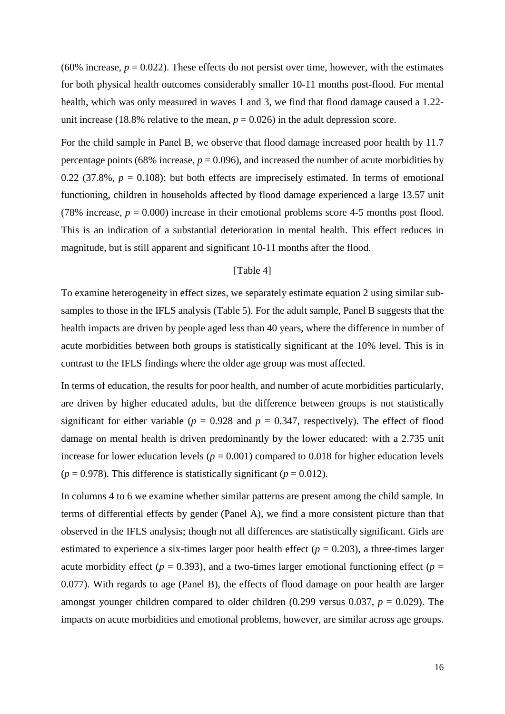(60% increase,  $p = 0.022$ ). These effects do not persist over time, however, with the estimates for both physical health outcomes considerably smaller 10-11 months post-flood. For mental health, which was only measured in waves 1 and 3, we find that flood damage caused a 1.22 unit increase (18.8% relative to the mean,  $p = 0.026$ ) in the adult depression score.

For the child sample in Panel B, we observe that flood damage increased poor health by 11.7 percentage points (68% increase,  $p = 0.096$ ), and increased the number of acute morbidities by 0.22 (37.8%,  $p = 0.108$ ); but both effects are imprecisely estimated. In terms of emotional functioning, children in households affected by flood damage experienced a large 13.57 unit (78% increase,  $p = 0.000$ ) increase in their emotional problems score 4-5 months post flood. This is an indication of a substantial deterioration in mental health. This effect reduces in magnitude, but is still apparent and significant 10-11 months after the flood.

#### [Table 4]

To examine heterogeneity in effect sizes, we separately estimate equation 2 using similar subsamples to those in the IFLS analysis (Table 5). For the adult sample, Panel B suggests that the health impacts are driven by people aged less than 40 years, where the difference in number of acute morbidities between both groups is statistically significant at the 10% level. This is in contrast to the IFLS findings where the older age group was most affected.

In terms of education, the results for poor health, and number of acute morbidities particularly, are driven by higher educated adults, but the difference between groups is not statistically significant for either variable ( $p = 0.928$  and  $p = 0.347$ , respectively). The effect of flood damage on mental health is driven predominantly by the lower educated: with a 2.735 unit increase for lower education levels ( $p = 0.001$ ) compared to 0.018 for higher education levels  $(p = 0.978)$ . This difference is statistically significant  $(p = 0.012)$ .

In columns 4 to 6 we examine whether similar patterns are present among the child sample. In terms of differential effects by gender (Panel A), we find a more consistent picture than that observed in the IFLS analysis; though not all differences are statistically significant. Girls are estimated to experience a six-times larger poor health effect  $(p = 0.203)$ , a three-times larger acute morbidity effect ( $p = 0.393$ ), and a two-times larger emotional functioning effect ( $p =$ 0.077). With regards to age (Panel B), the effects of flood damage on poor health are larger amongst younger children compared to older children (0.299 versus 0.037, *p* = 0.029). The impacts on acute morbidities and emotional problems, however, are similar across age groups.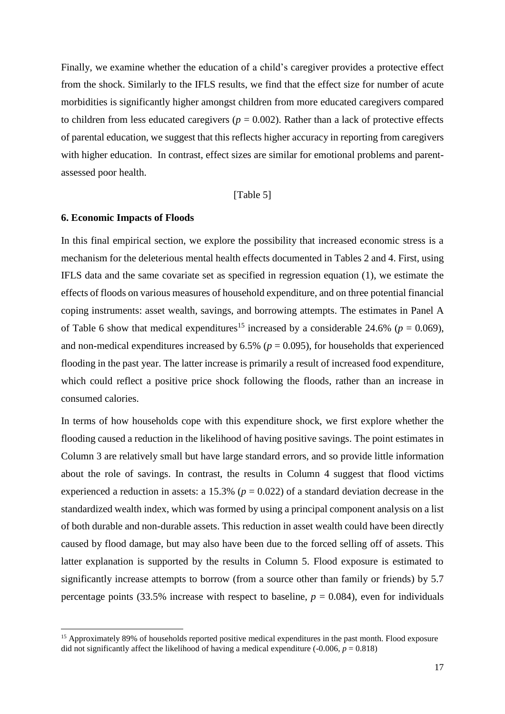Finally, we examine whether the education of a child's caregiver provides a protective effect from the shock. Similarly to the IFLS results, we find that the effect size for number of acute morbidities is significantly higher amongst children from more educated caregivers compared to children from less educated caregivers ( $p = 0.002$ ). Rather than a lack of protective effects of parental education, we suggest that this reflects higher accuracy in reporting from caregivers with higher education. In contrast, effect sizes are similar for emotional problems and parentassessed poor health.

### [Table 5]

#### **6. Economic Impacts of Floods**

1

In this final empirical section, we explore the possibility that increased economic stress is a mechanism for the deleterious mental health effects documented in Tables 2 and 4. First, using IFLS data and the same covariate set as specified in regression equation (1), we estimate the effects of floods on various measures of household expenditure, and on three potential financial coping instruments: asset wealth, savings, and borrowing attempts. The estimates in Panel A of Table 6 show that medical expenditures<sup>15</sup> increased by a considerable 24.6% ( $p = 0.069$ ), and non-medical expenditures increased by  $6.5\%$  ( $p = 0.095$ ), for households that experienced flooding in the past year. The latter increase is primarily a result of increased food expenditure, which could reflect a positive price shock following the floods, rather than an increase in consumed calories.

In terms of how households cope with this expenditure shock, we first explore whether the flooding caused a reduction in the likelihood of having positive savings. The point estimates in Column 3 are relatively small but have large standard errors, and so provide little information about the role of savings. In contrast, the results in Column 4 suggest that flood victims experienced a reduction in assets: a 15.3% ( $p = 0.022$ ) of a standard deviation decrease in the standardized wealth index, which was formed by using a principal component analysis on a list of both durable and non-durable assets. This reduction in asset wealth could have been directly caused by flood damage, but may also have been due to the forced selling off of assets. This latter explanation is supported by the results in Column 5. Flood exposure is estimated to significantly increase attempts to borrow (from a source other than family or friends) by 5.7 percentage points (33.5% increase with respect to baseline,  $p = 0.084$ ), even for individuals

<sup>&</sup>lt;sup>15</sup> Approximately 89% of households reported positive medical expenditures in the past month. Flood exposure did not significantly affect the likelihood of having a medical expenditure  $(-0.006, p = 0.818)$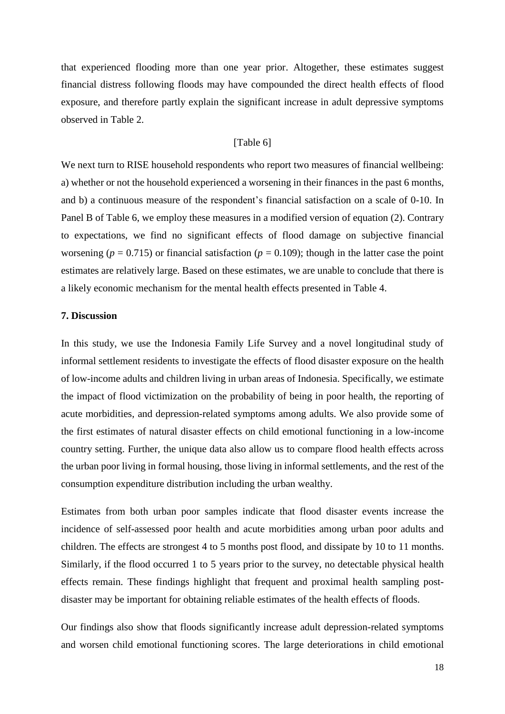that experienced flooding more than one year prior. Altogether, these estimates suggest financial distress following floods may have compounded the direct health effects of flood exposure, and therefore partly explain the significant increase in adult depressive symptoms observed in Table 2.

#### [Table 6]

We next turn to RISE household respondents who report two measures of financial wellbeing: a) whether or not the household experienced a worsening in their finances in the past 6 months, and b) a continuous measure of the respondent's financial satisfaction on a scale of 0-10. In Panel B of Table 6, we employ these measures in a modified version of equation (2). Contrary to expectations, we find no significant effects of flood damage on subjective financial worsening ( $p = 0.715$ ) or financial satisfaction ( $p = 0.109$ ); though in the latter case the point estimates are relatively large. Based on these estimates, we are unable to conclude that there is a likely economic mechanism for the mental health effects presented in Table 4.

# **7. Discussion**

In this study, we use the Indonesia Family Life Survey and a novel longitudinal study of informal settlement residents to investigate the effects of flood disaster exposure on the health of low-income adults and children living in urban areas of Indonesia. Specifically, we estimate the impact of flood victimization on the probability of being in poor health, the reporting of acute morbidities, and depression-related symptoms among adults. We also provide some of the first estimates of natural disaster effects on child emotional functioning in a low-income country setting. Further, the unique data also allow us to compare flood health effects across the urban poor living in formal housing, those living in informal settlements, and the rest of the consumption expenditure distribution including the urban wealthy.

Estimates from both urban poor samples indicate that flood disaster events increase the incidence of self-assessed poor health and acute morbidities among urban poor adults and children. The effects are strongest 4 to 5 months post flood, and dissipate by 10 to 11 months. Similarly, if the flood occurred 1 to 5 years prior to the survey, no detectable physical health effects remain. These findings highlight that frequent and proximal health sampling postdisaster may be important for obtaining reliable estimates of the health effects of floods.

Our findings also show that floods significantly increase adult depression-related symptoms and worsen child emotional functioning scores. The large deteriorations in child emotional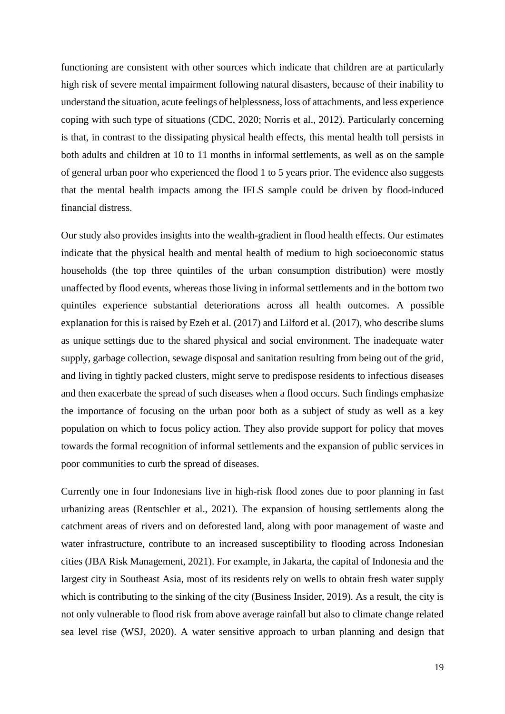functioning are consistent with other sources which indicate that children are at particularly high risk of severe mental impairment following natural disasters, because of their inability to understand the situation, acute feelings of helplessness, loss of attachments, and less experience coping with such type of situations (CDC, 2020; Norris et al., 2012). Particularly concerning is that, in contrast to the dissipating physical health effects, this mental health toll persists in both adults and children at 10 to 11 months in informal settlements, as well as on the sample of general urban poor who experienced the flood 1 to 5 years prior. The evidence also suggests that the mental health impacts among the IFLS sample could be driven by flood-induced financial distress.

Our study also provides insights into the wealth-gradient in flood health effects. Our estimates indicate that the physical health and mental health of medium to high socioeconomic status households (the top three quintiles of the urban consumption distribution) were mostly unaffected by flood events, whereas those living in informal settlements and in the bottom two quintiles experience substantial deteriorations across all health outcomes. A possible explanation for this is raised by Ezeh et al. (2017) and Lilford et al. (2017), who describe slums as unique settings due to the shared physical and social environment. The inadequate water supply, garbage collection, sewage disposal and sanitation resulting from being out of the grid, and living in tightly packed clusters, might serve to predispose residents to infectious diseases and then exacerbate the spread of such diseases when a flood occurs. Such findings emphasize the importance of focusing on the urban poor both as a subject of study as well as a key population on which to focus policy action. They also provide support for policy that moves towards the formal recognition of informal settlements and the expansion of public services in poor communities to curb the spread of diseases.

Currently one in four Indonesians live in high-risk flood zones due to poor planning in fast urbanizing areas (Rentschler et al., 2021). The expansion of housing settlements along the catchment areas of rivers and on deforested land, along with poor management of waste and water infrastructure, contribute to an increased susceptibility to flooding across Indonesian cities (JBA Risk Management, 2021). For example, in Jakarta, the capital of Indonesia and the largest city in Southeast Asia, most of its residents rely on wells to obtain fresh water supply which is contributing to the sinking of the city (Business Insider, 2019). As a result, the city is not only vulnerable to flood risk from above average rainfall but also to climate change related sea level rise (WSJ, 2020). A water sensitive approach to urban planning and design that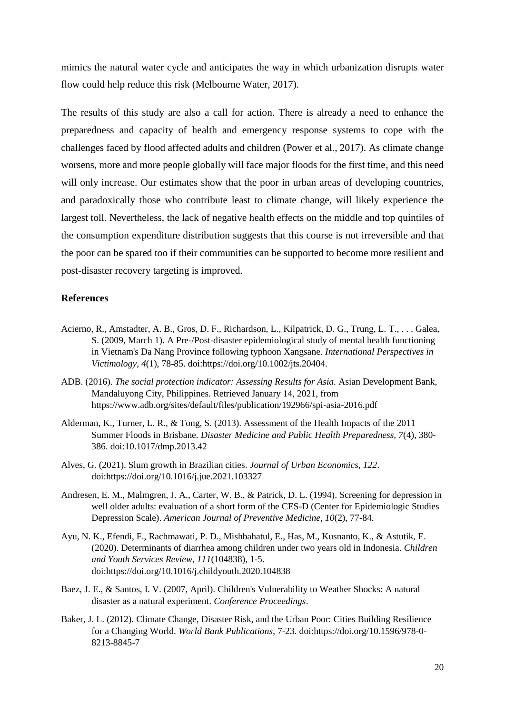mimics the natural water cycle and anticipates the way in which urbanization disrupts water flow could help reduce this risk (Melbourne Water, 2017).

The results of this study are also a call for action. There is already a need to enhance the preparedness and capacity of health and emergency response systems to cope with the challenges faced by flood affected adults and children (Power et al., 2017). As climate change worsens, more and more people globally will face major floods for the first time, and this need will only increase. Our estimates show that the poor in urban areas of developing countries, and paradoxically those who contribute least to climate change, will likely experience the largest toll. Nevertheless, the lack of negative health effects on the middle and top quintiles of the consumption expenditure distribution suggests that this course is not irreversible and that the poor can be spared too if their communities can be supported to become more resilient and post-disaster recovery targeting is improved.

# **References**

- Acierno, R., Amstadter, A. B., Gros, D. F., Richardson, L., Kilpatrick, D. G., Trung, L. T., . . . Galea, S. (2009, March 1). A Pre-/Post-disaster epidemiological study of mental health functioning in Vietnam's Da Nang Province following typhoon Xangsane. *International Perspectives in Victimology, 4*(1), 78-85. doi:https://doi.org/10.1002/jts.20404.
- ADB. (2016). *The social protection indicator: Assessing Results for Asia.* Asian Development Bank, Mandaluyong City, Philippines. Retrieved January 14, 2021, from https://www.adb.org/sites/default/files/publication/192966/spi-asia-2016.pdf
- Alderman, K., Turner, L. R., & Tong, S. (2013). Assessment of the Health Impacts of the 2011 Summer Floods in Brisbane. *Disaster Medicine and Public Health Preparedness, 7*(4), 380- 386. doi:10.1017/dmp.2013.42
- Alves, G. (2021). Slum growth in Brazilian cities. *Journal of Urban Economics, 122*. doi:https://doi.org/10.1016/j.jue.2021.103327
- Andresen, E. M., Malmgren, J. A., Carter, W. B., & Patrick, D. L. (1994). Screening for depression in well older adults: evaluation of a short form of the CES-D (Center for Epidemiologic Studies Depression Scale). *American Journal of Preventive Medicine, 10*(2), 77-84.
- Ayu, N. K., Efendi, F., Rachmawati, P. D., Mishbahatul, E., Has, M., Kusnanto, K., & Astutik, E. (2020). Determinants of diarrhea among children under two years old in Indonesia. *Children and Youth Services Review, 111*(104838), 1-5. doi:https://doi.org/10.1016/j.childyouth.2020.104838
- Baez, J. E., & Santos, I. V. (2007, April). Children's Vulnerability to Weather Shocks: A natural disaster as a natural experiment. *Conference Proceedings*.
- Baker, J. L. (2012). Climate Change, Disaster Risk, and the Urban Poor: Cities Building Resilience for a Changing World. *World Bank Publications*, 7-23. doi:https://doi.org/10.1596/978-0- 8213-8845-7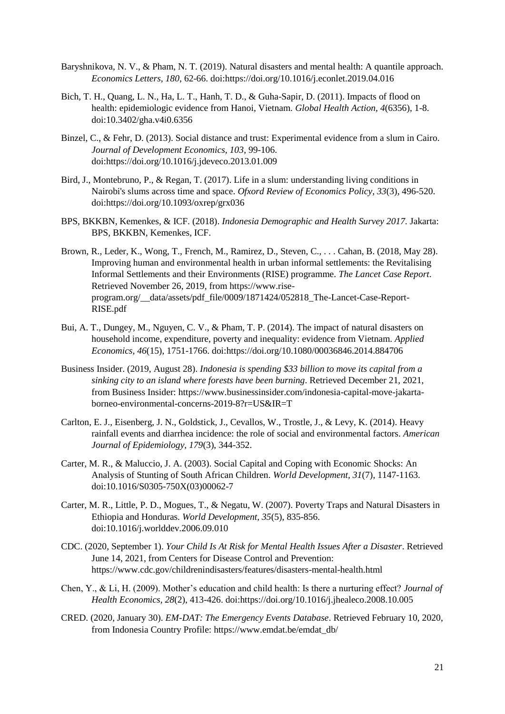- Baryshnikova, N. V., & Pham, N. T. (2019). Natural disasters and mental health: A quantile approach. *Economics Letters, 180*, 62-66. doi:https://doi.org/10.1016/j.econlet.2019.04.016
- Bich, T. H., Quang, L. N., Ha, L. T., Hanh, T. D., & Guha-Sapir, D. (2011). Impacts of flood on health: epidemiologic evidence from Hanoi, Vietnam. *Global Health Action, 4*(6356), 1-8. doi:10.3402/gha.v4i0.6356
- Binzel, C., & Fehr, D. (2013). Social distance and trust: Experimental evidence from a slum in Cairo. *Journal of Development Economics, 103*, 99-106. doi:https://doi.org/10.1016/j.jdeveco.2013.01.009
- Bird, J., Montebruno, P., & Regan, T. (2017). Life in a slum: understanding living conditions in Nairobi's slums across time and space. *Ofxord Review of Economics Policy, 33*(3), 496-520. doi:https://doi.org/10.1093/oxrep/grx036
- BPS, BKKBN, Kemenkes, & ICF. (2018). *Indonesia Demographic and Health Survey 2017.* Jakarta: BPS, BKKBN, Kemenkes, ICF.
- Brown, R., Leder, K., Wong, T., French, M., Ramirez, D., Steven, C., . . . Cahan, B. (2018, May 28). Improving human and environmental health in urban informal settlements: the Revitalising Informal Settlements and their Environments (RISE) programme. *The Lancet Case Report*. Retrieved November 26, 2019, from https://www.riseprogram.org/\_\_data/assets/pdf\_file/0009/1871424/052818\_The-Lancet-Case-Report-RISE.pdf
- Bui, A. T., Dungey, M., Nguyen, C. V., & Pham, T. P. (2014). The impact of natural disasters on household income, expenditure, poverty and inequality: evidence from Vietnam. *Applied Economics, 46*(15), 1751-1766. doi:https://doi.org/10.1080/00036846.2014.884706
- Business Insider. (2019, August 28). *Indonesia is spending \$33 billion to move its capital from a sinking city to an island where forests have been burning*. Retrieved December 21, 2021, from Business Insider: https://www.businessinsider.com/indonesia-capital-move-jakartaborneo-environmental-concerns-2019-8?r=US&IR=T
- Carlton, E. J., Eisenberg, J. N., Goldstick, J., Cevallos, W., Trostle, J., & Levy, K. (2014). Heavy rainfall events and diarrhea incidence: the role of social and environmental factors. *American Journal of Epidemiology, 179*(3), 344-352.
- Carter, M. R., & Maluccio, J. A. (2003). Social Capital and Coping with Economic Shocks: An Analysis of Stunting of South African Children. *World Development, 31*(7), 1147-1163. doi:10.1016/S0305-750X(03)00062-7
- Carter, M. R., Little, P. D., Mogues, T., & Negatu, W. (2007). Poverty Traps and Natural Disasters in Ethiopia and Honduras. *World Development, 35*(5), 835-856. doi:10.1016/j.worlddev.2006.09.010
- CDC. (2020, September 1). *Your Child Is At Risk for Mental Health Issues After a Disaster*. Retrieved June 14, 2021, from Centers for Disease Control and Prevention: https://www.cdc.gov/childrenindisasters/features/disasters-mental-health.html
- Chen, Y., & Li, H. (2009). Mother's education and child health: Is there a nurturing effect? *Journal of Health Economics, 28*(2), 413-426. doi:https://doi.org/10.1016/j.jhealeco.2008.10.005
- CRED. (2020, January 30). *EM-DAT: The Emergency Events Database*. Retrieved February 10, 2020, from Indonesia Country Profile: https://www.emdat.be/emdat\_db/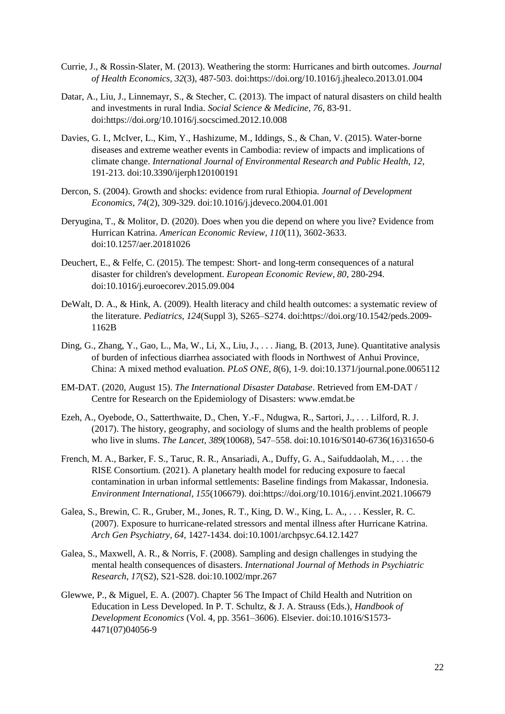- Currie, J., & Rossin-Slater, M. (2013). Weathering the storm: Hurricanes and birth outcomes. *Journal of Health Economics, 32*(3), 487-503. doi:https://doi.org/10.1016/j.jhealeco.2013.01.004
- Datar, A., Liu, J., Linnemayr, S., & Stecher, C. (2013). The impact of natural disasters on child health and investments in rural India. *Social Science & Medicine, 76*, 83-91. doi:https://doi.org/10.1016/j.socscimed.2012.10.008
- Davies, G. I., McIver, L., Kim, Y., Hashizume, M., Iddings, S., & Chan, V. (2015). Water-borne diseases and extreme weather events in Cambodia: review of impacts and implications of climate change. *International Journal of Environmental Research and Public Health, 12*, 191-213. doi:10.3390/ijerph120100191
- Dercon, S. (2004). Growth and shocks: evidence from rural Ethiopia. *Journal of Development Economics, 74*(2), 309-329. doi:10.1016/j.jdeveco.2004.01.001
- Deryugina, T., & Molitor, D. (2020). Does when you die depend on where you live? Evidence from Hurrican Katrina. *American Economic Review, 110*(11), 3602-3633. doi:10.1257/aer.20181026
- Deuchert, E., & Felfe, C. (2015). The tempest: Short- and long-term consequences of a natural disaster for children's development. *European Economic Review, 80*, 280-294. doi:10.1016/j.euroecorev.2015.09.004
- DeWalt, D. A., & Hink, A. (2009). Health literacy and child health outcomes: a systematic review of the literature. *Pediatrics, 124*(Suppl 3), S265–S274. doi:https://doi.org/10.1542/peds.2009- 1162B
- Ding, G., Zhang, Y., Gao, L., Ma, W., Li, X., Liu, J., . . . Jiang, B. (2013, June). Quantitative analysis of burden of infectious diarrhea associated with floods in Northwest of Anhui Province, China: A mixed method evaluation. *PLoS ONE, 8*(6), 1-9. doi:10.1371/journal.pone.0065112
- EM-DAT. (2020, August 15). *The International Disaster Database*. Retrieved from EM-DAT / Centre for Research on the Epidemiology of Disasters: www.emdat.be
- Ezeh, A., Oyebode, O., Satterthwaite, D., Chen, Y.-F., Ndugwa, R., Sartori, J., . . . Lilford, R. J. (2017). The history, geography, and sociology of slums and the health problems of people who live in slums. *The Lancet, 389*(10068), 547–558. doi:10.1016/S0140-6736(16)31650-6
- French, M. A., Barker, F. S., Taruc, R. R., Ansariadi, A., Duffy, G. A., Saifuddaolah, M., . . . the RISE Consortium. (2021). A planetary health model for reducing exposure to faecal contamination in urban informal settlements: Baseline findings from Makassar, Indonesia. *Environment International, 155*(106679). doi:https://doi.org/10.1016/j.envint.2021.106679
- Galea, S., Brewin, C. R., Gruber, M., Jones, R. T., King, D. W., King, L. A., . . . Kessler, R. C. (2007). Exposure to hurricane-related stressors and mental illness after Hurricane Katrina. *Arch Gen Psychiatry, 64*, 1427-1434. doi:10.1001/archpsyc.64.12.1427
- Galea, S., Maxwell, A. R., & Norris, F. (2008). Sampling and design challenges in studying the mental health consequences of disasters. *International Journal of Methods in Psychiatric Research, 17*(S2), S21-S28. doi:10.1002/mpr.267
- Glewwe, P., & Miguel, E. A. (2007). Chapter 56 The Impact of Child Health and Nutrition on Education in Less Developed. In P. T. Schultz, & J. A. Strauss (Eds.), *Handbook of Development Economics* (Vol. 4, pp. 3561–3606). Elsevier. doi:10.1016/S1573- 4471(07)04056-9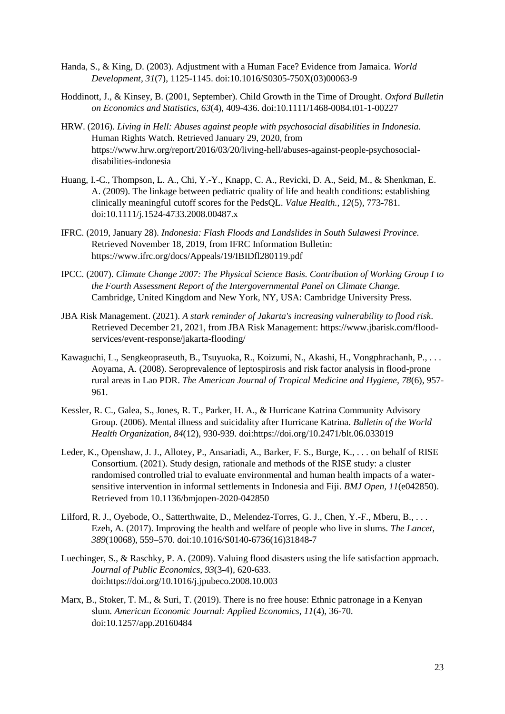- Handa, S., & King, D. (2003). Adjustment with a Human Face? Evidence from Jamaica. *World Development, 31*(7), 1125-1145. doi:10.1016/S0305-750X(03)00063-9
- Hoddinott, J., & Kinsey, B. (2001, September). Child Growth in the Time of Drought. *Oxford Bulletin on Economics and Statistics, 63*(4), 409-436. doi:10.1111/1468-0084.t01-1-00227
- HRW. (2016). *Living in Hell: Abuses against people with psychosocial disabilities in Indonesia.* Human Rights Watch. Retrieved January 29, 2020, from https://www.hrw.org/report/2016/03/20/living-hell/abuses-against-people-psychosocialdisabilities-indonesia
- Huang, I.-C., Thompson, L. A., Chi, Y.-Y., Knapp, C. A., Revicki, D. A., Seid, M., & Shenkman, E. A. (2009). The linkage between pediatric quality of life and health conditions: establishing clinically meaningful cutoff scores for the PedsQL. *Value Health., 12*(5), 773-781. doi:10.1111/j.1524-4733.2008.00487.x
- IFRC. (2019, January 28). *Indonesia: Flash Floods and Landslides in South Sulawesi Province.* Retrieved November 18, 2019, from IFRC Information Bulletin: https://www.ifrc.org/docs/Appeals/19/IBIDfl280119.pdf
- IPCC. (2007). *Climate Change 2007: The Physical Science Basis. Contribution of Working Group I to the Fourth Assessment Report of the Intergovernmental Panel on Climate Change.* Cambridge, United Kingdom and New York, NY, USA: Cambridge University Press.
- JBA Risk Management. (2021). *A stark reminder of Jakarta's increasing vulnerability to flood risk*. Retrieved December 21, 2021, from JBA Risk Management: https://www.jbarisk.com/floodservices/event-response/jakarta-flooding/
- Kawaguchi, L., Sengkeopraseuth, B., Tsuyuoka, R., Koizumi, N., Akashi, H., Vongphrachanh, P., . . . Aoyama, A. (2008). Seroprevalence of leptospirosis and risk factor analysis in flood-prone rural areas in Lao PDR. *The American Journal of Tropical Medicine and Hygiene, 78*(6), 957- 961.
- Kessler, R. C., Galea, S., Jones, R. T., Parker, H. A., & Hurricane Katrina Community Advisory Group. (2006). Mental illness and suicidality after Hurricane Katrina. *Bulletin of the World Health Organization, 84*(12), 930-939. doi:https://doi.org/10.2471/blt.06.033019
- Leder, K., Openshaw, J. J., Allotey, P., Ansariadi, A., Barker, F. S., Burge, K., . . . on behalf of RISE Consortium. (2021). Study design, rationale and methods of the RISE study: a cluster randomised controlled trial to evaluate environmental and human health impacts of a watersensitive intervention in informal settlements in Indonesia and Fiji. *BMJ Open, 11*(e042850). Retrieved from 10.1136/bmjopen-2020-042850
- Lilford, R. J., Oyebode, O., Satterthwaite, D., Melendez-Torres, G. J., Chen, Y.-F., Mberu, B., . . . Ezeh, A. (2017). Improving the health and welfare of people who live in slums. *The Lancet, 389*(10068), 559–570. doi:10.1016/S0140-6736(16)31848-7
- Luechinger, S., & Raschky, P. A. (2009). Valuing flood disasters using the life satisfaction approach. *Journal of Public Economics, 93*(3-4), 620-633. doi:https://doi.org/10.1016/j.jpubeco.2008.10.003
- Marx, B., Stoker, T. M., & Suri, T. (2019). There is no free house: Ethnic patronage in a Kenyan slum. *American Economic Journal: Applied Economics, 11*(4), 36-70. doi:10.1257/app.20160484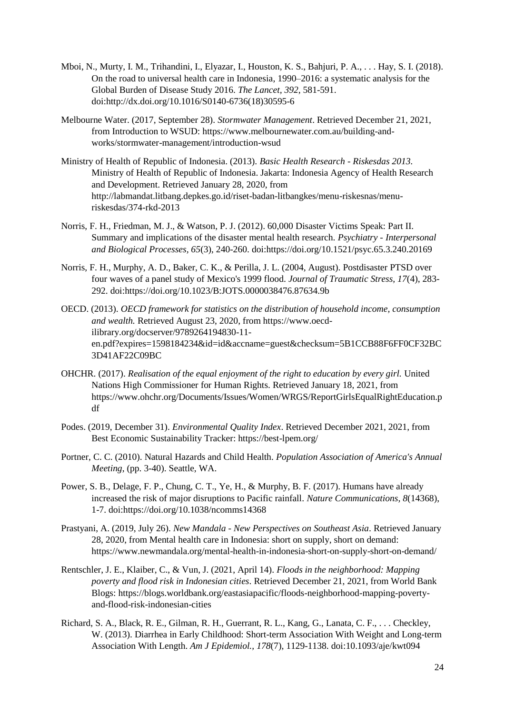- Mboi, N., Murty, I. M., Trihandini, I., Elyazar, I., Houston, K. S., Bahjuri, P. A., . . . Hay, S. I. (2018). On the road to universal health care in Indonesia, 1990–2016: a systematic analysis for the Global Burden of Disease Study 2016. *The Lancet, 392*, 581-591. doi:http://dx.doi.org/10.1016/S0140-6736(18)30595-6
- Melbourne Water. (2017, September 28). *Stormwater Management*. Retrieved December 21, 2021, from Introduction to WSUD: https://www.melbournewater.com.au/building-andworks/stormwater-management/introduction-wsud
- Ministry of Health of Republic of Indonesia. (2013). *Basic Health Research - Riskesdas 2013.* Ministry of Health of Republic of Indonesia. Jakarta: Indonesia Agency of Health Research and Development. Retrieved January 28, 2020, from http://labmandat.litbang.depkes.go.id/riset-badan-litbangkes/menu-riskesnas/menuriskesdas/374-rkd-2013
- Norris, F. H., Friedman, M. J., & Watson, P. J. (2012). 60,000 Disaster Victims Speak: Part II. Summary and implications of the disaster mental health research. *Psychiatry - Interpersonal and Biological Processes, 65*(3), 240-260. doi:https://doi.org/10.1521/psyc.65.3.240.20169
- Norris, F. H., Murphy, A. D., Baker, C. K., & Perilla, J. L. (2004, August). Postdisaster PTSD over four waves of a panel study of Mexico's 1999 flood. *Journal of Traumatic Stress, 17*(4), 283- 292. doi:https://doi.org/10.1023/B:JOTS.0000038476.87634.9b
- OECD. (2013). *OECD framework for statistics on the distribution of household income, consumption and wealth.* Retrieved August 23, 2020, from https://www.oecdilibrary.org/docserver/9789264194830-11 en.pdf?expires=1598184234&id=id&accname=guest&checksum=5B1CCB88F6FF0CF32BC 3D41AF22C09BC
- OHCHR. (2017). *Realisation of the equal enjoyment of the right to education by every girl.* United Nations High Commissioner for Human Rights. Retrieved January 18, 2021, from https://www.ohchr.org/Documents/Issues/Women/WRGS/ReportGirlsEqualRightEducation.p df
- Podes. (2019, December 31). *Environmental Quality Index*. Retrieved December 2021, 2021, from Best Economic Sustainability Tracker: https://best-lpem.org/
- Portner, C. C. (2010). Natural Hazards and Child Health. *Population Association of America's Annual Meeting*, (pp. 3-40). Seattle, WA.
- Power, S. B., Delage, F. P., Chung, C. T., Ye, H., & Murphy, B. F. (2017). Humans have already increased the risk of major disruptions to Pacific rainfall. *Nature Communications, 8*(14368), 1-7. doi:https://doi.org/10.1038/ncomms14368
- Prastyani, A. (2019, July 26). *New Mandala - New Perspectives on Southeast Asia*. Retrieved January 28, 2020, from Mental health care in Indonesia: short on supply, short on demand: https://www.newmandala.org/mental-health-in-indonesia-short-on-supply-short-on-demand/
- Rentschler, J. E., Klaiber, C., & Vun, J. (2021, April 14). *Floods in the neighborhood: Mapping poverty and flood risk in Indonesian cities*. Retrieved December 21, 2021, from World Bank Blogs: https://blogs.worldbank.org/eastasiapacific/floods-neighborhood-mapping-povertyand-flood-risk-indonesian-cities
- Richard, S. A., Black, R. E., Gilman, R. H., Guerrant, R. L., Kang, G., Lanata, C. F., . . . Checkley, W. (2013). Diarrhea in Early Childhood: Short-term Association With Weight and Long-term Association With Length. *Am J Epidemiol., 178*(7), 1129-1138. doi:10.1093/aje/kwt094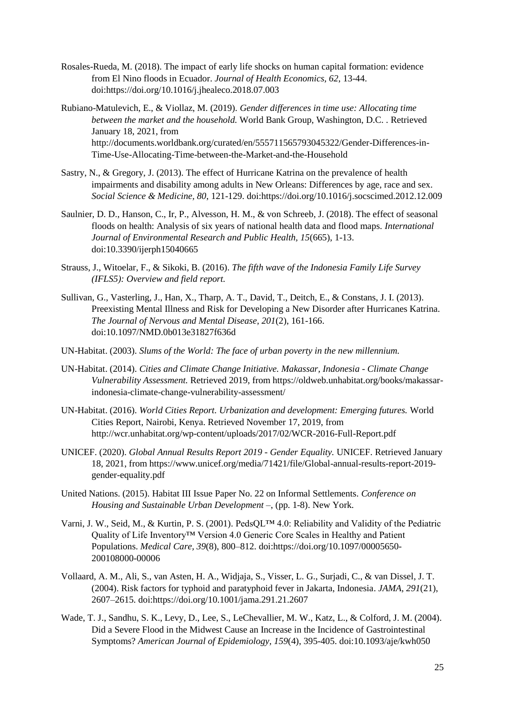- Rosales-Rueda, M. (2018). The impact of early life shocks on human capital formation: evidence from El Nino floods in Ecuador. *Journal of Health Economics, 62*, 13-44. doi:https://doi.org/10.1016/j.jhealeco.2018.07.003
- Rubiano-Matulevich, E., & Viollaz, M. (2019). *Gender differences in time use: Allocating time between the market and the household.* World Bank Group, Washington, D.C. . Retrieved January 18, 2021, from http://documents.worldbank.org/curated/en/555711565793045322/Gender-Differences-in-Time-Use-Allocating-Time-between-the-Market-and-the-Household
- Sastry, N., & Gregory, J. (2013). The effect of Hurricane Katrina on the prevalence of health impairments and disability among adults in New Orleans: Differences by age, race and sex. *Social Science & Medicine, 80*, 121-129. doi:https://doi.org/10.1016/j.socscimed.2012.12.009
- Saulnier, D. D., Hanson, C., Ir, P., Alvesson, H. M., & von Schreeb, J. (2018). The effect of seasonal floods on health: Analysis of six years of national health data and flood maps. *International Journal of Environmental Research and Public Health, 15*(665), 1-13. doi:10.3390/ijerph15040665
- Strauss, J., Witoelar, F., & Sikoki, B. (2016). *The fifth wave of the Indonesia Family Life Survey (IFLS5): Overview and field report.*
- Sullivan, G., Vasterling, J., Han, X., Tharp, A. T., David, T., Deitch, E., & Constans, J. I. (2013). Preexisting Mental Illness and Risk for Developing a New Disorder after Hurricanes Katrina. *The Journal of Nervous and Mental Disease, 201*(2), 161-166. doi:10.1097/NMD.0b013e31827f636d
- UN-Habitat. (2003). *Slums of the World: The face of urban poverty in the new millennium.*
- UN-Habitat. (2014). *Cities and Climate Change Initiative. Makassar, Indonesia - Climate Change Vulnerability Assessment.* Retrieved 2019, from https://oldweb.unhabitat.org/books/makassarindonesia-climate-change-vulnerability-assessment/
- UN-Habitat. (2016). *World Cities Report. Urbanization and development: Emerging futures.* World Cities Report, Nairobi, Kenya. Retrieved November 17, 2019, from http://wcr.unhabitat.org/wp-content/uploads/2017/02/WCR-2016-Full-Report.pdf
- UNICEF. (2020). *Global Annual Results Report 2019 - Gender Equality.* UNICEF. Retrieved January 18, 2021, from https://www.unicef.org/media/71421/file/Global-annual-results-report-2019 gender-equality.pdf
- United Nations. (2015). Habitat III Issue Paper No. 22 on Informal Settlements. *Conference on Housing and Sustainable Urban Development –*, (pp. 1-8). New York.
- Varni, J. W., Seid, M., & Kurtin, P. S. (2001). PedsQL™ 4.0: Reliability and Validity of the Pediatric Quality of Life Inventory™ Version 4.0 Generic Core Scales in Healthy and Patient Populations. *Medical Care, 39*(8), 800–812. doi:https://doi.org/10.1097/00005650- 200108000-00006
- Vollaard, A. M., Ali, S., van Asten, H. A., Widjaja, S., Visser, L. G., Surjadi, C., & van Dissel, J. T. (2004). Risk factors for typhoid and paratyphoid fever in Jakarta, Indonesia. *JAMA, 291*(21), 2607–2615. doi:https://doi.org/10.1001/jama.291.21.2607
- Wade, T. J., Sandhu, S. K., Levy, D., Lee, S., LeChevallier, M. W., Katz, L., & Colford, J. M. (2004). Did a Severe Flood in the Midwest Cause an Increase in the Incidence of Gastrointestinal Symptoms? *American Journal of Epidemiology, 159*(4), 395-405. doi:10.1093/aje/kwh050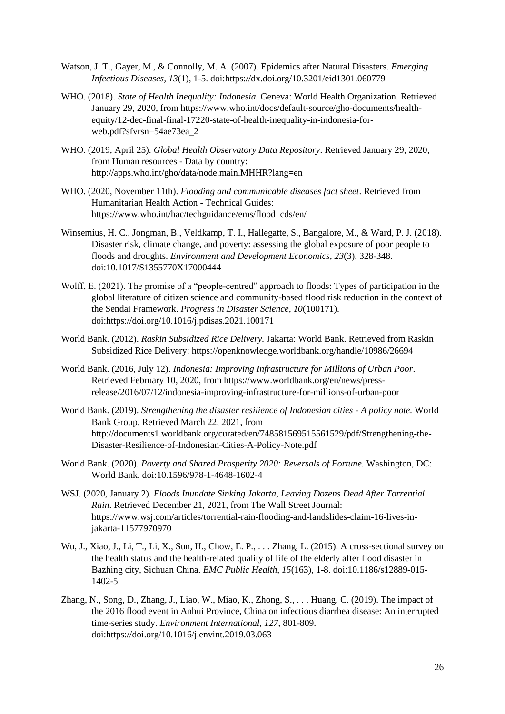- Watson, J. T., Gayer, M., & Connolly, M. A. (2007). Epidemics after Natural Disasters. *Emerging Infectious Diseases, 13*(1), 1-5. doi:https://dx.doi.org/10.3201/eid1301.060779
- WHO. (2018). *State of Health Inequality: Indonesia.* Geneva: World Health Organization. Retrieved January 29, 2020, from https://www.who.int/docs/default-source/gho-documents/healthequity/12-dec-final-final-17220-state-of-health-inequality-in-indonesia-forweb.pdf?sfvrsn=54ae73ea\_2
- WHO. (2019, April 25). *Global Health Observatory Data Repository*. Retrieved January 29, 2020, from Human resources - Data by country: http://apps.who.int/gho/data/node.main.MHHR?lang=en
- WHO. (2020, November 11th). *Flooding and communicable diseases fact sheet*. Retrieved from Humanitarian Health Action - Technical Guides: https://www.who.int/hac/techguidance/ems/flood\_cds/en/
- Winsemius, H. C., Jongman, B., Veldkamp, T. I., Hallegatte, S., Bangalore, M., & Ward, P. J. (2018). Disaster risk, climate change, and poverty: assessing the global exposure of poor people to floods and droughts. *Environment and Development Economics, 23*(3), 328-348. doi:10.1017/S1355770X17000444
- Wolff, E. (2021). The promise of a "people-centred" approach to floods: Types of participation in the global literature of citizen science and community-based flood risk reduction in the context of the Sendai Framework. *Progress in Disaster Science, 10*(100171). doi:https://doi.org/10.1016/j.pdisas.2021.100171
- World Bank. (2012). *Raskin Subsidized Rice Delivery.* Jakarta: World Bank. Retrieved from Raskin Subsidized Rice Delivery: https://openknowledge.worldbank.org/handle/10986/26694
- World Bank. (2016, July 12). *Indonesia: Improving Infrastructure for Millions of Urban Poor*. Retrieved February 10, 2020, from https://www.worldbank.org/en/news/pressrelease/2016/07/12/indonesia-improving-infrastructure-for-millions-of-urban-poor
- World Bank. (2019). *Strengthening the disaster resilience of Indonesian cities - A policy note.* World Bank Group. Retrieved March 22, 2021, from http://documents1.worldbank.org/curated/en/748581569515561529/pdf/Strengthening-the-Disaster-Resilience-of-Indonesian-Cities-A-Policy-Note.pdf
- World Bank. (2020). *Poverty and Shared Prosperity 2020: Reversals of Fortune.* Washington, DC: World Bank. doi:10.1596/978-1-4648-1602-4
- WSJ. (2020, January 2). *Floods Inundate Sinking Jakarta, Leaving Dozens Dead After Torrential Rain*. Retrieved December 21, 2021, from The Wall Street Journal: https://www.wsj.com/articles/torrential-rain-flooding-and-landslides-claim-16-lives-injakarta-11577970970
- Wu, J., Xiao, J., Li, T., Li, X., Sun, H., Chow, E. P., . . . Zhang, L. (2015). A cross-sectional survey on the health status and the health-related quality of life of the elderly after flood disaster in Bazhing city, Sichuan China. *BMC Public Health, 15*(163), 1-8. doi:10.1186/s12889-015- 1402-5
- Zhang, N., Song, D., Zhang, J., Liao, W., Miao, K., Zhong, S., . . . Huang, C. (2019). The impact of the 2016 flood event in Anhui Province, China on infectious diarrhea disease: An interrupted time-series study. *Environment International, 127*, 801-809. doi:https://doi.org/10.1016/j.envint.2019.03.063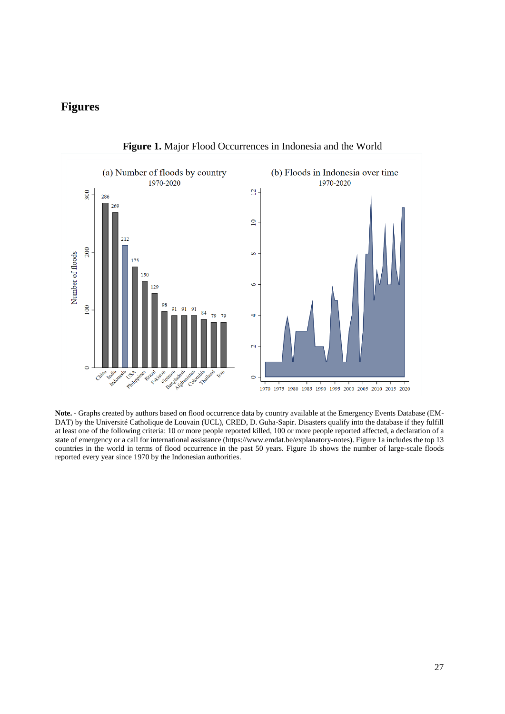# **Figures**



**Figure 1.** Major Flood Occurrences in Indonesia and the World

**Note.** - Graphs created by authors based on flood occurrence data by country available at the Emergency Events Database (EM-DAT) by the Université Catholique de Louvain (UCL), CRED, D. Guha-Sapir. Disasters qualify into the database if they fulfill at least one of the following criteria: 10 or more people reported killed, 100 or more people reported affected, a declaration of a state of emergency or a call for international assistance (https://www.emdat.be/explanatory-notes). Figure 1a includes the top 13 countries in the world in terms of flood occurrence in the past 50 years. Figure 1b shows the number of large-scale floods reported every year since 1970 by the Indonesian authorities.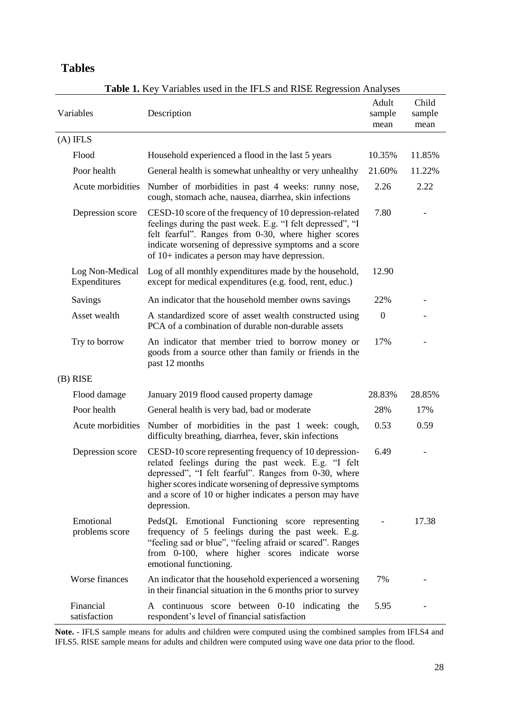# **Tables**

| Variables                       | Description                                                                                                                                                                                                                                                                                                 | Adult<br>sample<br>mean | Child<br>sample<br>mean |
|---------------------------------|-------------------------------------------------------------------------------------------------------------------------------------------------------------------------------------------------------------------------------------------------------------------------------------------------------------|-------------------------|-------------------------|
| $(A)$ IFLS                      |                                                                                                                                                                                                                                                                                                             |                         |                         |
| Flood                           | Household experienced a flood in the last 5 years                                                                                                                                                                                                                                                           | 10.35%                  | 11.85%                  |
| Poor health                     | General health is somewhat unhealthy or very unhealthy                                                                                                                                                                                                                                                      | 21.60%                  | 11.22%                  |
| Acute morbidities               | Number of morbidities in past 4 weeks: runny nose,<br>cough, stomach ache, nausea, diarrhea, skin infections                                                                                                                                                                                                | 2.26                    | 2.22                    |
| Depression score                | CESD-10 score of the frequency of 10 depression-related<br>feelings during the past week. E.g. "I felt depressed", "I<br>felt fearful". Ranges from 0-30, where higher scores<br>indicate worsening of depressive symptoms and a score<br>of $10+$ indicates a person may have depression.                  | 7.80                    |                         |
| Log Non-Medical<br>Expenditures | Log of all monthly expenditures made by the household,<br>except for medical expenditures (e.g. food, rent, educ.)                                                                                                                                                                                          | 12.90                   |                         |
| Savings                         | An indicator that the household member owns savings                                                                                                                                                                                                                                                         | 22%                     |                         |
| Asset wealth                    | A standardized score of asset wealth constructed using<br>PCA of a combination of durable non-durable assets                                                                                                                                                                                                | $\boldsymbol{0}$        |                         |
| Try to borrow                   | An indicator that member tried to borrow money or<br>goods from a source other than family or friends in the<br>past 12 months                                                                                                                                                                              | 17%                     |                         |
| $(B)$ RISE                      |                                                                                                                                                                                                                                                                                                             |                         |                         |
| Flood damage                    | January 2019 flood caused property damage                                                                                                                                                                                                                                                                   | 28.83%                  | 28.85%                  |
| Poor health                     | General health is very bad, bad or moderate                                                                                                                                                                                                                                                                 | 28%                     | 17%                     |
| Acute morbidities               | Number of morbidities in the past 1 week: cough,<br>difficulty breathing, diarrhea, fever, skin infections                                                                                                                                                                                                  | 0.53                    | 0.59                    |
| Depression score                | CESD-10 score representing frequency of 10 depression-<br>related feelings during the past week. E.g. "I felt<br>depressed", "I felt fearful". Ranges from 0-30, where<br>higher scores indicate worsening of depressive symptoms<br>and a score of 10 or higher indicates a person may have<br>depression. | 6.49                    |                         |
| Emotional<br>problems score     | PedsQL Emotional Functioning score representing<br>frequency of 5 feelings during the past week. E.g.<br>"feeling sad or blue", "feeling afraid or scared". Ranges<br>from 0-100, where higher scores indicate worse<br>emotional functioning.                                                              |                         | 17.38                   |
| Worse finances                  | An indicator that the household experienced a worsening<br>in their financial situation in the 6 months prior to survey                                                                                                                                                                                     | 7%                      |                         |
| Financial<br>satisfaction       | A continuous score between 0-10 indicating the<br>respondent's level of financial satisfaction                                                                                                                                                                                                              | 5.95                    |                         |

**Table 1.** Key Variables used in the IFLS and RISE Regression Analyses

**Note.** - IFLS sample means for adults and children were computed using the combined samples from IFLS4 and IFLS5. RISE sample means for adults and children were computed using wave one data prior to the flood.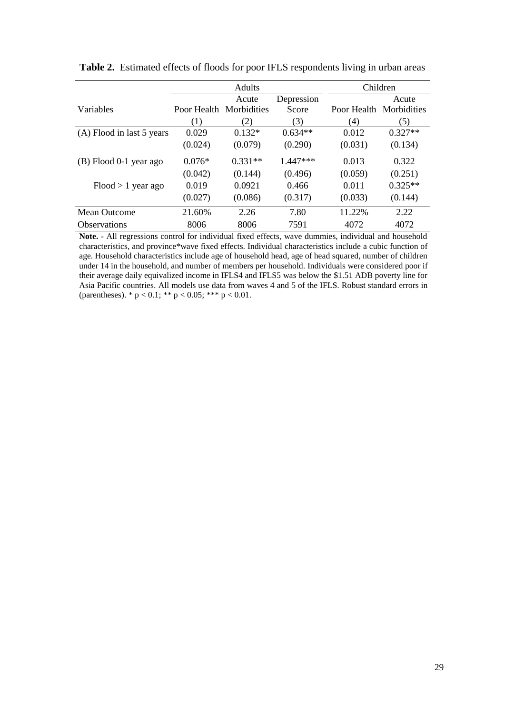|                           |                         | Adults    | Children   |                         |           |
|---------------------------|-------------------------|-----------|------------|-------------------------|-----------|
|                           |                         | Acute     | Depression |                         | Acute     |
| Variables                 | Poor Health Morbidities |           | Score      | Poor Health Morbidities |           |
|                           | (1)                     | (2)       | (3)        | (4)                     | (5)       |
| (A) Flood in last 5 years | 0.029                   | $0.132*$  | $0.634**$  | 0.012                   | $0.327**$ |
|                           | (0.024)                 | (0.079)   | (0.290)    | (0.031)                 | (0.134)   |
| (B) Flood 0-1 year ago    | $0.076*$                | $0.331**$ | $1.447***$ | 0.013                   | 0.322     |
|                           | (0.042)                 | (0.144)   | (0.496)    | (0.059)                 | (0.251)   |
| $Flood > 1$ year ago      | 0.019                   | 0.0921    | 0.466      | 0.011                   | $0.325**$ |
|                           | (0.027)                 | (0.086)   | (0.317)    | (0.033)                 | (0.144)   |
| Mean Outcome              | 21.60%                  | 2.26      | 7.80       | 11.22%                  | 2.22      |
| <b>Observations</b>       | 8006                    | 8006      | 7591       | 4072                    | 4072      |

**Table 2.** Estimated effects of floods for poor IFLS respondents living in urban areas

**Note.** - All regressions control for individual fixed effects, wave dummies, individual and household characteristics, and province\*wave fixed effects. Individual characteristics include a cubic function of age. Household characteristics include age of household head, age of head squared, number of children under 14 in the household, and number of members per household. Individuals were considered poor if their average daily equivalized income in IFLS4 and IFLS5 was below the \$1.51 ADB poverty line for Asia Pacific countries. All models use data from waves 4 and 5 of the IFLS. Robust standard errors in (parentheses). \*  $p < 0.1$ ; \*\*  $p < 0.05$ ; \*\*\*  $p < 0.01$ .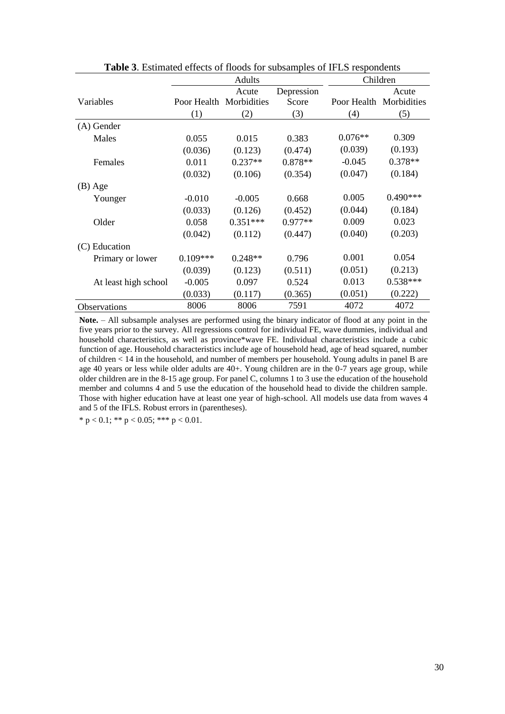|                      |            | Adults                  | Children   |           |                         |
|----------------------|------------|-------------------------|------------|-----------|-------------------------|
|                      |            | Acute                   | Depression |           | Acute                   |
| Variables            |            | Poor Health Morbidities | Score      |           | Poor Health Morbidities |
|                      | (1)        | (2)                     | (3)        | (4)       | (5)                     |
| (A) Gender           |            |                         |            |           |                         |
| Males                | 0.055      | 0.015                   | 0.383      | $0.076**$ | 0.309                   |
|                      | (0.036)    | (0.123)                 | (0.474)    | (0.039)   | (0.193)                 |
| Females              | 0.011      | $0.237**$               | $0.878**$  | $-0.045$  | $0.378**$               |
|                      | (0.032)    | (0.106)                 | (0.354)    | (0.047)   | (0.184)                 |
| $(B)$ Age            |            |                         |            |           |                         |
| Younger              | $-0.010$   | $-0.005$                | 0.668      | 0.005     | $0.490***$              |
|                      | (0.033)    | (0.126)                 | (0.452)    | (0.044)   | (0.184)                 |
| Older                | 0.058      | $0.351***$              | $0.977**$  | 0.009     | 0.023                   |
|                      | (0.042)    | (0.112)                 | (0.447)    | (0.040)   | (0.203)                 |
| (C) Education        |            |                         |            |           |                         |
| Primary or lower     | $0.109***$ | $0.248**$               | 0.796      | 0.001     | 0.054                   |
|                      | (0.039)    | (0.123)                 | (0.511)    | (0.051)   | (0.213)                 |
| At least high school | $-0.005$   | 0.097                   | 0.524      | 0.013     | $0.538***$              |
|                      | (0.033)    | (0.117)                 | (0.365)    | (0.051)   | (0.222)                 |
| Observations         | 8006       | 8006                    | 7591       | 4072      | 4072                    |

**Table 3**. Estimated effects of floods for subsamples of IFLS respondents

**Note.** – All subsample analyses are performed using the binary indicator of flood at any point in the five years prior to the survey. All regressions control for individual FE, wave dummies, individual and household characteristics, as well as province\*wave FE. Individual characteristics include a cubic function of age. Household characteristics include age of household head, age of head squared, number of children < 14 in the household, and number of members per household. Young adults in panel B are age 40 years or less while older adults are 40+. Young children are in the 0-7 years age group, while older children are in the 8-15 age group. For panel C, columns 1 to 3 use the education of the household member and columns 4 and 5 use the education of the household head to divide the children sample. Those with higher education have at least one year of high-school. All models use data from waves 4 and 5 of the IFLS. Robust errors in (parentheses).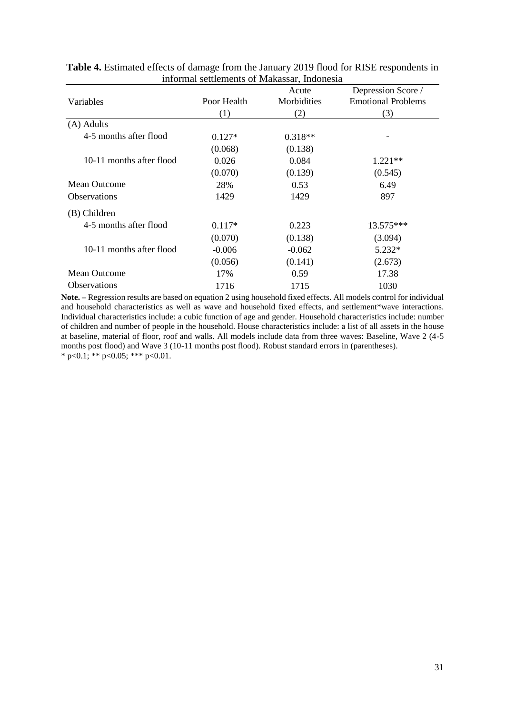|                          | Informat sculcinents of trianassar, indonesia |                      |                                                 |
|--------------------------|-----------------------------------------------|----------------------|-------------------------------------------------|
| Variables                | Poor Health                                   | Acute<br>Morbidities | Depression Score /<br><b>Emotional Problems</b> |
|                          | (1)                                           | (2)                  | (3)                                             |
| (A) Adults               |                                               |                      |                                                 |
| 4-5 months after flood   | $0.127*$                                      | $0.318**$            |                                                 |
|                          | (0.068)                                       | (0.138)              |                                                 |
| 10-11 months after flood | 0.026                                         | 0.084                | $1.221**$                                       |
|                          | (0.070)                                       | (0.139)              | (0.545)                                         |
| Mean Outcome             | 28%                                           | 0.53                 | 6.49                                            |
| <b>Observations</b>      | 1429                                          | 1429                 | 897                                             |
| (B) Children             |                                               |                      |                                                 |
| 4-5 months after flood   | $0.117*$                                      | 0.223                | $13.575***$                                     |
|                          | (0.070)                                       | (0.138)              | (3.094)                                         |
| 10-11 months after flood | $-0.006$                                      | $-0.062$             | $5.232*$                                        |
|                          | (0.056)                                       | (0.141)              | (2.673)                                         |
| <b>Mean Outcome</b>      | 17%                                           | 0.59                 | 17.38                                           |
| <b>Observations</b>      | 1716                                          | 1715                 | 1030                                            |

**Table 4.** Estimated effects of damage from the January 2019 flood for RISE respondents in informal settlements of Makassar, Indonesia

**Note. –** Regression results are based on equation 2 using household fixed effects. All models control for individual and household characteristics as well as wave and household fixed effects, and settlement\*wave interactions. Individual characteristics include: a cubic function of age and gender. Household characteristics include: number of children and number of people in the household. House characteristics include: a list of all assets in the house at baseline, material of floor, roof and walls. All models include data from three waves: Baseline, Wave 2 (4-5 months post flood) and Wave 3 (10-11 months post flood). Robust standard errors in (parentheses). \* p<0.1; \*\* p<0.05; \*\*\* p<0.01.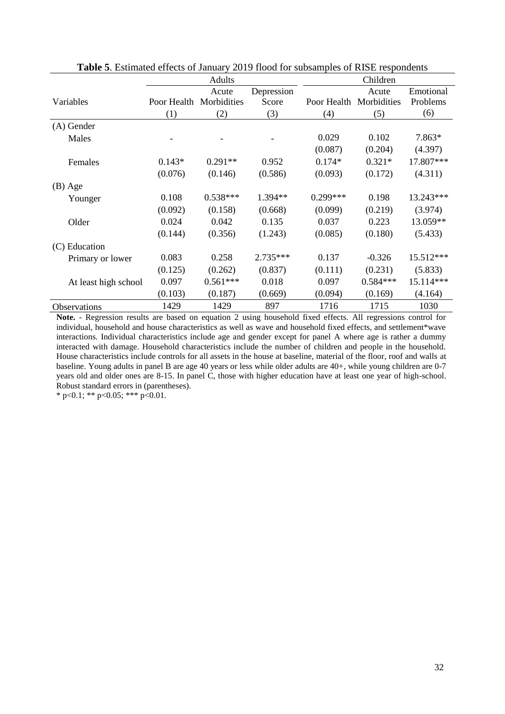|                      |                         | Adults     |            | Children    |             |           |  |
|----------------------|-------------------------|------------|------------|-------------|-------------|-----------|--|
|                      |                         | Acute      | Depression |             | Acute       | Emotional |  |
| Variables            | Poor Health Morbidities |            | Score      | Poor Health | Morbidities | Problems  |  |
|                      | (1)                     | (2)        | (3)        | (4)         | (5)         | (6)       |  |
| (A) Gender           |                         |            |            |             |             |           |  |
| Males                |                         |            |            | 0.029       | 0.102       | 7.863*    |  |
|                      |                         |            |            | (0.087)     | (0.204)     | (4.397)   |  |
| Females              | $0.143*$                | $0.291**$  | 0.952      | $0.174*$    | $0.321*$    | 17.807*** |  |
|                      | (0.076)                 | (0.146)    | (0.586)    | (0.093)     | (0.172)     | (4.311)   |  |
| $(B)$ Age            |                         |            |            |             |             |           |  |
| Younger              | 0.108                   | $0.538***$ | 1.394**    | $0.299***$  | 0.198       | 13.243*** |  |
|                      | (0.092)                 | (0.158)    | (0.668)    | (0.099)     | (0.219)     | (3.974)   |  |
| Older                | 0.024                   | 0.042      | 0.135      | 0.037       | 0.223       | 13.059**  |  |
|                      | (0.144)                 | (0.356)    | (1.243)    | (0.085)     | (0.180)     | (5.433)   |  |
| (C) Education        |                         |            |            |             |             |           |  |
| Primary or lower     | 0.083                   | 0.258      | 2.735***   | 0.137       | $-0.326$    | 15.512*** |  |
|                      | (0.125)                 | (0.262)    | (0.837)    | (0.111)     | (0.231)     | (5.833)   |  |
| At least high school | 0.097                   | $0.561***$ | 0.018      | 0.097       | $0.584***$  | 15.114*** |  |
|                      | (0.103)                 | (0.187)    | (0.669)    | (0.094)     | (0.169)     | (4.164)   |  |
| Observations         | 1429                    | 1429       | 897        | 1716        | 1715        | 1030      |  |

**Table 5**. Estimated effects of January 2019 flood for subsamples of RISE respondents

**Note.** - Regression results are based on equation 2 using household fixed effects. All regressions control for individual, household and house characteristics as well as wave and household fixed effects, and settlement\*wave interactions. Individual characteristics include age and gender except for panel A where age is rather a dummy interacted with damage. Household characteristics include the number of children and people in the household. House characteristics include controls for all assets in the house at baseline, material of the floor, roof and walls at baseline. Young adults in panel B are age 40 years or less while older adults are 40+, while young children are 0-7 years old and older ones are 8-15. In panel C, those with higher education have at least one year of high-school. Robust standard errors in (parentheses).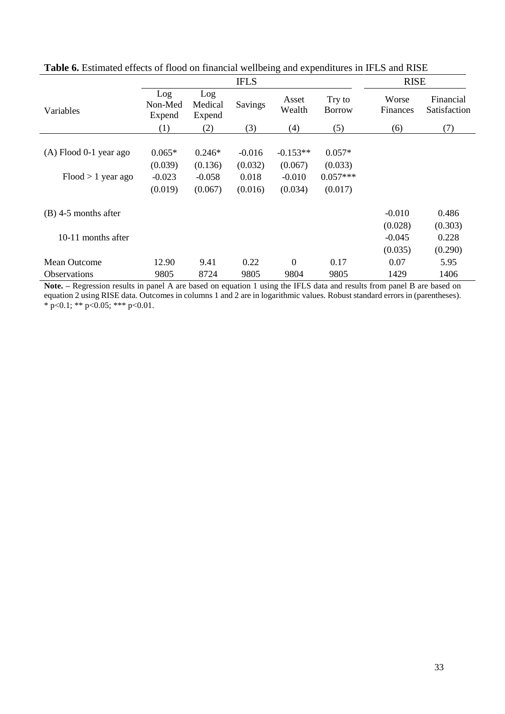|                          | <b>IFLS</b>              |                          |          |                 |                         | <b>RISE</b>              |                           |  |
|--------------------------|--------------------------|--------------------------|----------|-----------------|-------------------------|--------------------------|---------------------------|--|
| Variables                | Log<br>Non-Med<br>Expend | Log<br>Medical<br>Expend | Savings  | Asset<br>Wealth | Try to<br><b>Borrow</b> | Worse<br><b>Finances</b> | Financial<br>Satisfaction |  |
|                          | (1)                      | (2)                      | (3)      | (4)             | (5)                     | (6)                      | (7)                       |  |
|                          |                          |                          |          |                 |                         |                          |                           |  |
| $(A)$ Flood 0-1 year ago | $0.065*$                 | $0.246*$                 | $-0.016$ | $-0.153**$      | $0.057*$                |                          |                           |  |
|                          | (0.039)                  | (0.136)                  | (0.032)  | (0.067)         | (0.033)                 |                          |                           |  |
| $Flood > 1$ year ago     | $-0.023$                 | $-0.058$                 | 0.018    | $-0.010$        | $0.057***$              |                          |                           |  |
|                          | (0.019)                  | (0.067)                  | (0.016)  | (0.034)         | (0.017)                 |                          |                           |  |
| $(B)$ 4-5 months after   |                          |                          |          |                 |                         | $-0.010$                 | 0.486                     |  |
|                          |                          |                          |          |                 |                         | (0.028)                  | (0.303)                   |  |
| 10-11 months after       |                          |                          |          |                 |                         | $-0.045$                 | 0.228                     |  |
|                          |                          |                          |          |                 |                         | (0.035)                  | (0.290)                   |  |
| <b>Mean Outcome</b>      | 12.90                    | 9.41                     | 0.22     | $\overline{0}$  | 0.17                    | 0.07                     | 5.95                      |  |
| <b>Observations</b>      | 9805                     | 8724                     | 9805     | 9804            | 9805                    | 1429                     | 1406                      |  |

**Table 6.** Estimated effects of flood on financial wellbeing and expenditures in IFLS and RISE

**Note. –** Regression results in panel A are based on equation 1 using the IFLS data and results from panel B are based on equation 2 using RISE data. Outcomes in columns 1 and 2 are in logarithmic values. Robust standard errors in (parentheses). \* p<0.1; \*\* p<0.05; \*\*\* p<0.01.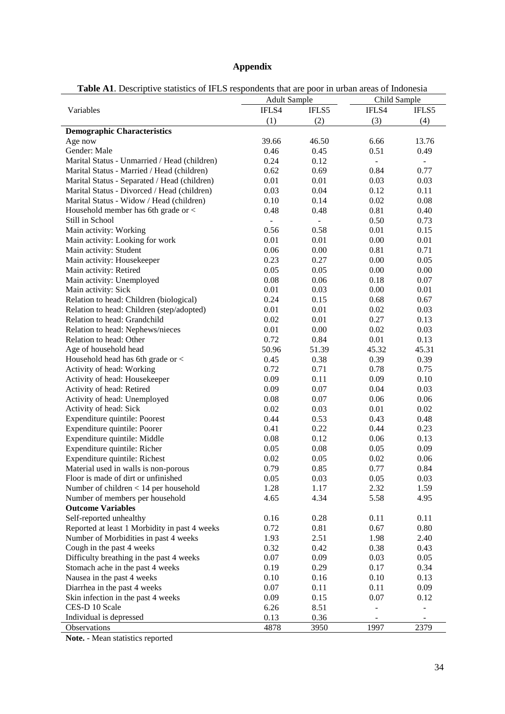# **Appendix**

| <b>Table A1.</b> Descriptive statistics of IFLS respondents that are poor in urban areas of Indonesia |  |  |  |
|-------------------------------------------------------------------------------------------------------|--|--|--|
|-------------------------------------------------------------------------------------------------------|--|--|--|

|                                               | <b>Adult Sample</b> |                          | Child Sample |                          |  |
|-----------------------------------------------|---------------------|--------------------------|--------------|--------------------------|--|
| Variables                                     | IFLS4               | IFLS5                    | IFLS4        | IFLS5                    |  |
|                                               | (1)                 | (2)                      | (3)          | (4)                      |  |
| <b>Demographic Characteristics</b>            |                     |                          |              |                          |  |
| Age now                                       | 39.66               | 46.50                    | 6.66         | 13.76                    |  |
| Gender: Male                                  | 0.46                | 0.45                     | 0.51         | 0.49                     |  |
| Marital Status - Unmarried / Head (children)  | 0.24                | 0.12                     | ÷,           | ÷,                       |  |
| Marital Status - Married / Head (children)    | 0.62                | 0.69                     | 0.84         | 0.77                     |  |
| Marital Status - Separated / Head (children)  | 0.01                | 0.01                     | 0.03         | 0.03                     |  |
| Marital Status - Divorced / Head (children)   | 0.03                | 0.04                     | 0.12         | 0.11                     |  |
| Marital Status - Widow / Head (children)      | 0.10                | 0.14                     | 0.02         | 0.08                     |  |
| Household member has 6th grade or <           | 0.48                | 0.48                     | 0.81         | 0.40                     |  |
| Still in School                               | ÷,                  | $\overline{\phantom{a}}$ | 0.50         | 0.73                     |  |
| Main activity: Working                        | 0.56                | 0.58                     | 0.01         | 0.15                     |  |
| Main activity: Looking for work               | 0.01                | 0.01                     | 0.00         | 0.01                     |  |
| Main activity: Student                        | 0.06                | 0.00                     | 0.81         | 0.71                     |  |
| Main activity: Housekeeper                    | 0.23                | 0.27                     | 0.00         | 0.05                     |  |
| Main activity: Retired                        | 0.05                | 0.05                     | 0.00         | 0.00                     |  |
| Main activity: Unemployed                     | 0.08                | 0.06                     | 0.18         | 0.07                     |  |
| Main activity: Sick                           | 0.01                | 0.03                     | 0.00         | 0.01                     |  |
| Relation to head: Children (biological)       | 0.24                | 0.15                     | 0.68         | 0.67                     |  |
| Relation to head: Children (step/adopted)     | 0.01                | 0.01                     | 0.02         | 0.03                     |  |
| Relation to head: Grandchild                  | 0.02                | 0.01                     | 0.27         | 0.13                     |  |
| Relation to head: Nephews/nieces              | 0.01                | 0.00                     | 0.02         | 0.03                     |  |
| Relation to head: Other                       | 0.72                | 0.84                     | 0.01         | 0.13                     |  |
| Age of household head                         | 50.96               | 51.39                    | 45.32        | 45.31                    |  |
| Household head has 6th grade or <             | 0.45                | 0.38                     | 0.39         | 0.39                     |  |
| Activity of head: Working                     | 0.72                | 0.71                     | 0.78         | 0.75                     |  |
| Activity of head: Housekeeper                 | 0.09                | 0.11                     | 0.09         | 0.10                     |  |
| Activity of head: Retired                     | 0.09                | 0.07                     | 0.04         | 0.03                     |  |
| Activity of head: Unemployed                  | 0.08                | 0.07                     | 0.06         | 0.06                     |  |
| Activity of head: Sick                        | 0.02                | 0.03                     | 0.01         | 0.02                     |  |
| Expenditure quintile: Poorest                 | 0.44                | 0.53                     | 0.43         | 0.48                     |  |
| Expenditure quintile: Poorer                  | 0.41                | 0.22                     | 0.44         | 0.23                     |  |
| Expenditure quintile: Middle                  | 0.08                | 0.12                     | 0.06         | 0.13                     |  |
| Expenditure quintile: Richer                  | 0.05                | 0.08                     | 0.05         | 0.09                     |  |
| Expenditure quintile: Richest                 | 0.02                | 0.05                     | 0.02         | 0.06                     |  |
| Material used in walls is non-porous          | 0.79                | 0.85                     | 0.77         | 0.84                     |  |
| Floor is made of dirt or unfinished           | 0.05                | 0.03                     | 0.05         | 0.03                     |  |
| Number of children $< 14$ per household       | 1.28                | 1.17                     | 2.32         | 1.59                     |  |
| Number of members per household               | 4.65                | 4.34                     | 5.58         | 4.95                     |  |
| <b>Outcome Variables</b>                      |                     |                          |              |                          |  |
| Self-reported unhealthy                       | 0.16                | 0.28                     | 0.11         | 0.11                     |  |
| Reported at least 1 Morbidity in past 4 weeks | 0.72                | 0.81                     | 0.67         | 0.80                     |  |
| Number of Morbidities in past 4 weeks         | 1.93                | 2.51                     | 1.98         | 2.40                     |  |
| Cough in the past 4 weeks                     | 0.32                | 0.42                     | 0.38         | 0.43                     |  |
| Difficulty breathing in the past 4 weeks      | 0.07                | 0.09                     | 0.03         | 0.05                     |  |
| Stomach ache in the past 4 weeks              | 0.19                | 0.29                     | 0.17         | 0.34                     |  |
| Nausea in the past 4 weeks                    | 0.10                | 0.16                     | 0.10         | 0.13                     |  |
| Diarrhea in the past 4 weeks                  | 0.07                | 0.11                     | 0.11         | 0.09                     |  |
| Skin infection in the past 4 weeks            | 0.09                | 0.15                     | 0.07         | 0.12                     |  |
| CES-D 10 Scale                                | 6.26                | 8.51                     |              | $\overline{\phantom{0}}$ |  |
| Individual is depressed                       | 0.13                | 0.36                     |              |                          |  |
| Observations                                  | 4878                | 3950                     | 1997         | 2379                     |  |

**Note.** - Mean statistics reported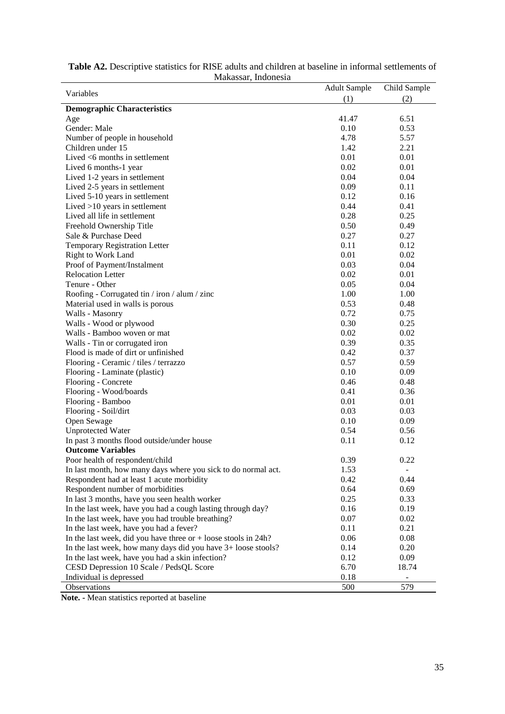|                                                                  | <b>Adult Sample</b> | Child Sample             |
|------------------------------------------------------------------|---------------------|--------------------------|
| Variables                                                        | (1)                 | (2)                      |
| <b>Demographic Characteristics</b>                               |                     |                          |
| Age                                                              | 41.47               | 6.51                     |
| Gender: Male                                                     | 0.10                | 0.53                     |
| Number of people in household                                    | 4.78                | 5.57                     |
| Children under 15                                                | 1.42                | 2.21                     |
| Lived $<$ 6 months in settlement                                 | 0.01                | 0.01                     |
| Lived 6 months-1 year                                            | 0.02                | 0.01                     |
| Lived 1-2 years in settlement                                    | 0.04                | 0.04                     |
| Lived 2-5 years in settlement                                    | 0.09                | 0.11                     |
| Lived 5-10 years in settlement                                   | 0.12                | 0.16                     |
| Lived >10 years in settlement                                    | 0.44                | 0.41                     |
| Lived all life in settlement                                     | 0.28                | 0.25                     |
| Freehold Ownership Title                                         | 0.50                | 0.49                     |
| Sale & Purchase Deed                                             | 0.27                | 0.27                     |
| Temporary Registration Letter                                    | 0.11                | 0.12                     |
| Right to Work Land                                               | 0.01                | 0.02                     |
| Proof of Payment/Instalment                                      | 0.03                | 0.04                     |
| <b>Relocation Letter</b>                                         | 0.02                | 0.01                     |
| Tenure - Other                                                   | 0.05                | 0.04                     |
| Roofing - Corrugated tin / iron / alum / zinc                    | 1.00                | 1.00                     |
| Material used in walls is porous                                 | 0.53                | 0.48                     |
| Walls - Masonry                                                  | 0.72                | 0.75                     |
| Walls - Wood or plywood                                          | 0.30                | 0.25                     |
| Walls - Bamboo woven or mat                                      | 0.02                | 0.02                     |
| Walls - Tin or corrugated iron                                   | 0.39                | 0.35                     |
| Flood is made of dirt or unfinished                              | 0.42                | 0.37                     |
| Flooring - Ceramic / tiles / terrazzo                            | 0.57                | 0.59                     |
| Flooring - Laminate (plastic)                                    | 0.10                | 0.09                     |
| Flooring - Concrete                                              | 0.46                | 0.48                     |
| Flooring - Wood/boards                                           | 0.41                | 0.36                     |
| Flooring - Bamboo                                                | 0.01                | 0.01                     |
| Flooring - Soil/dirt                                             | 0.03                | 0.03                     |
| Open Sewage                                                      | 0.10                | 0.09                     |
| Unprotected Water                                                | 0.54                | 0.56                     |
| In past 3 months flood outside/under house                       | 0.11                | 0.12                     |
| <b>Outcome Variables</b>                                         |                     |                          |
| Poor health of respondent/child                                  | 0.39                | 0.22                     |
| In last month, how many days where you sick to do normal act.    | 1.53                | $\overline{\phantom{a}}$ |
| Respondent had at least 1 acute morbidity                        | 0.42                | 0.44                     |
| Respondent number of morbidities                                 | 0.64                | 0.69                     |
| In last 3 months, have you seen health worker                    | 0.25                | 0.33                     |
| In the last week, have you had a cough lasting through day?      | 0.16                | 0.19                     |
| In the last week, have you had trouble breathing?                | 0.07                | 0.02                     |
| In the last week, have you had a fever?                          | 0.11                | 0.21                     |
| In the last week, did you have three or $+$ loose stools in 24h? | 0.06                | 0.08                     |
| In the last week, how many days did you have 3+ loose stools?    | 0.14                | 0.20                     |
| In the last week, have you had a skin infection?                 | 0.12                | 0.09                     |
| CESD Depression 10 Scale / PedsQL Score                          | 6.70                | 18.74                    |
| Individual is depressed                                          | 0.18                |                          |
| Observations                                                     | 500                 | 579                      |

**Table A2.** Descriptive statistics for RISE adults and children at baseline in informal settlements of Makassar, Indonesia

**Note. -** Mean statistics reported at baseline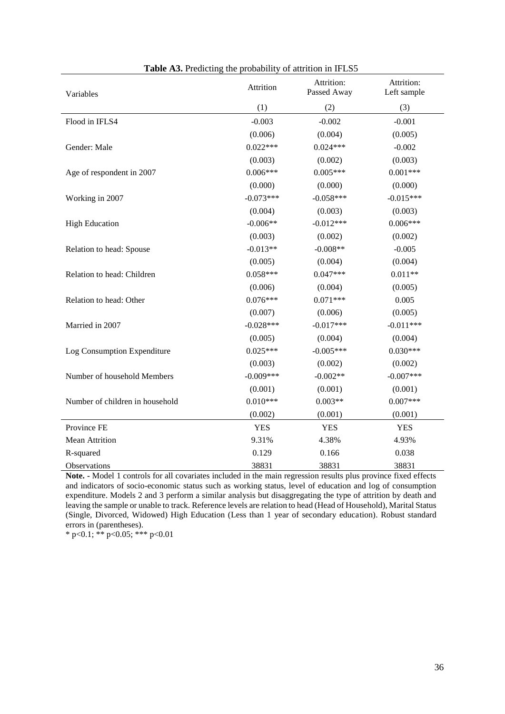| Variables                       | Attrition   | Attrition:<br>Passed Away | Attrition:<br>Left sample |
|---------------------------------|-------------|---------------------------|---------------------------|
|                                 | (1)         |                           | (3)                       |
| Flood in IFLS4                  | $-0.003$    | $-0.002$                  | $-0.001$                  |
|                                 | (0.006)     | (0.004)                   | (0.005)                   |
| Gender: Male                    | $0.022***$  | $0.024***$                | $-0.002$                  |
|                                 | (0.003)     | (0.002)                   | (0.003)                   |
| Age of respondent in 2007       | $0.006***$  | $0.005***$                | $0.001***$                |
|                                 | (0.000)     | (0.000)                   | (0.000)                   |
| Working in 2007                 | $-0.073***$ | $-0.058***$               | $-0.015***$               |
|                                 | (0.004)     | (0.003)                   | (0.003)                   |
| <b>High Education</b>           | $-0.006**$  | $-0.012***$               | $0.006***$                |
|                                 | (0.003)     | (0.002)                   | (0.002)                   |
| Relation to head: Spouse        | $-0.013**$  | $-0.008**$                | $-0.005$                  |
|                                 | (0.005)     | (0.004)                   | (0.004)                   |
| Relation to head: Children      | $0.058***$  | $0.047***$                | $0.011**$                 |
|                                 | (0.006)     | (0.004)                   | (0.005)                   |
| Relation to head: Other         | $0.076***$  | $0.071***$                | 0.005                     |
|                                 | (0.007)     | (0.006)                   | (0.005)                   |
| Married in 2007                 | $-0.028***$ | $-0.017***$               | $-0.011***$               |
|                                 | (0.005)     | (0.004)                   | (0.004)                   |
| Log Consumption Expenditure     | $0.025***$  | $-0.005***$               | $0.030***$                |
|                                 | (0.003)     | (0.002)                   | (0.002)                   |
| Number of household Members     | $-0.009***$ | $-0.002**$                | $-0.007$ ***              |
|                                 | (0.001)     | (0.001)                   | (0.001)                   |
| Number of children in household | $0.010***$  | $0.003**$                 | $0.007***$                |
|                                 | (0.002)     | (0.001)                   | (0.001)                   |
| Province FE                     | <b>YES</b>  | <b>YES</b>                | <b>YES</b>                |
| <b>Mean Attrition</b>           | 9.31%       | 4.38%                     | 4.93%                     |
| R-squared                       | 0.129       | 0.166                     | 0.038                     |
| Observations                    | 38831       | 38831                     | 38831                     |

| Table A3. Predicting the probability of attrition in IFLS5 |  |  |  |  |
|------------------------------------------------------------|--|--|--|--|
|                                                            |  |  |  |  |

**Note. -** Model 1 controls for all covariates included in the main regression results plus province fixed effects and indicators of socio-economic status such as working status, level of education and log of consumption expenditure. Models 2 and 3 perform a similar analysis but disaggregating the type of attrition by death and leaving the sample or unable to track. Reference levels are relation to head (Head of Household), Marital Status (Single, Divorced, Widowed) High Education (Less than 1 year of secondary education). Robust standard errors in (parentheses).

\* p<0.1; \*\* p<0.05; \*\*\* p<0.01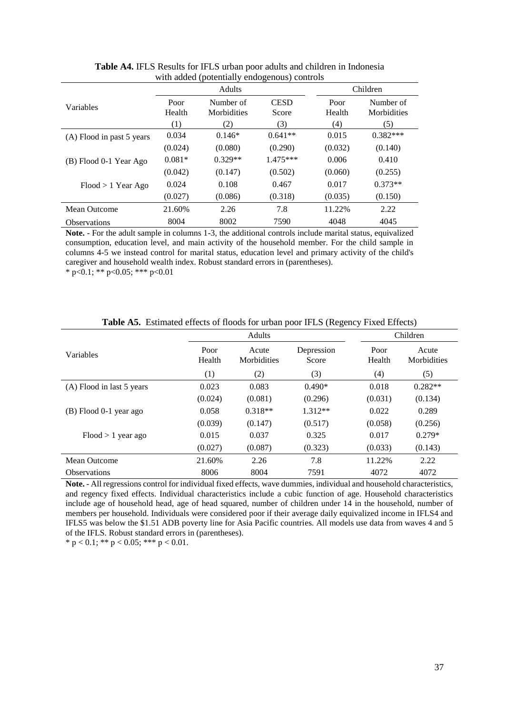|                           |                | <b>Adults</b>            |                      | Children       |                          |  |
|---------------------------|----------------|--------------------------|----------------------|----------------|--------------------------|--|
| Variables                 | Poor<br>Health | Number of<br>Morbidities | <b>CESD</b><br>Score | Poor<br>Health | Number of<br>Morbidities |  |
|                           | (1)            | (2)                      | (3)                  | (4)            | (5)                      |  |
| (A) Flood in past 5 years | 0.034          | $0.146*$                 | $0.641**$            | 0.015          | $0.382***$               |  |
|                           | (0.024)        | (0.080)                  | (0.290)              | (0.032)        | (0.140)                  |  |
| (B) Flood 0-1 Year Ago    | $0.081*$       | $0.329**$                | $1.475***$           | 0.006          | 0.410                    |  |
|                           | (0.042)        | (0.147)                  | (0.502)              | (0.060)        | (0.255)                  |  |
| $Flood > 1$ Year Ago      | 0.024          | 0.108                    | 0.467                | 0.017          | $0.373**$                |  |
|                           | (0.027)        | (0.086)                  | (0.318)              | (0.035)        | (0.150)                  |  |
| Mean Outcome              | 21.60%         | 2.26                     | 7.8                  | 11.22%         | 2.22                     |  |
| <b>Observations</b>       | 8004           | 8002                     | 7590                 | 4048           | 4045                     |  |

**Table A4.** IFLS Results for IFLS urban poor adults and children in Indonesia with added (potentially endogenous) controls

**Note.** - For the adult sample in columns 1-3, the additional controls include marital status, equivalized consumption, education level, and main activity of the household member. For the child sample in columns 4-5 we instead control for marital status, education level and primary activity of the child's caregiver and household wealth index. Robust standard errors in (parentheses). \* p<0.1; \*\* p<0.05; \*\*\* p<0.01

|                           | Adults         |                      |                     | Children       |                      |
|---------------------------|----------------|----------------------|---------------------|----------------|----------------------|
| Variables                 | Poor<br>Health | Acute<br>Morbidities | Depression<br>Score | Poor<br>Health | Acute<br>Morbidities |
|                           | (1)            | (2)                  | (3)                 | (4)            | (5)                  |
| (A) Flood in last 5 years | 0.023          | 0.083                | $0.490*$            | 0.018          | $0.282**$            |
|                           | (0.024)        | (0.081)              | (0.296)             | (0.031)        | (0.134)              |
| (B) Flood 0-1 year ago    | 0.058          | $0.318**$            | $1.312**$           | 0.022          | 0.289                |
|                           | (0.039)        | (0.147)              | (0.517)             | (0.058)        | (0.256)              |
| $Flood > 1$ year ago      | 0.015          | 0.037                | 0.325               | 0.017          | $0.279*$             |
|                           | (0.027)        | (0.087)              | (0.323)             | (0.033)        | (0.143)              |
| Mean Outcome              | 21.60%         | 2.26                 | 7.8                 | 11.22%         | 2.22                 |
| <b>Observations</b>       | 8006           | 8004                 | 7591                | 4072           | 4072                 |

**Table A5.** Estimated effects of floods for urban poor IFLS (Regency Fixed Effects)

**Note.** - All regressions control for individual fixed effects, wave dummies, individual and household characteristics, and regency fixed effects. Individual characteristics include a cubic function of age. Household characteristics include age of household head, age of head squared, number of children under 14 in the household, number of members per household. Individuals were considered poor if their average daily equivalized income in IFLS4 and IFLS5 was below the \$1.51 ADB poverty line for Asia Pacific countries. All models use data from waves 4 and 5 of the IFLS. Robust standard errors in (parentheses).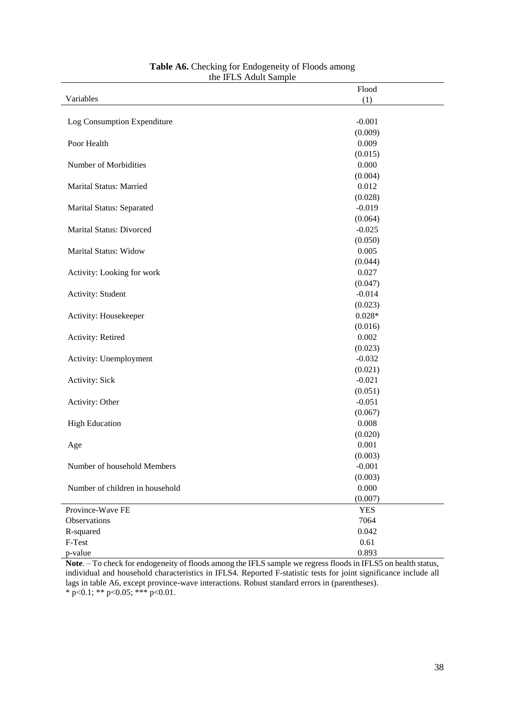| Flood      |
|------------|
| (1)        |
|            |
| $-0.001$   |
| (0.009)    |
| 0.009      |
| (0.015)    |
| 0.000      |
| (0.004)    |
| 0.012      |
| (0.028)    |
| $-0.019$   |
| (0.064)    |
| $-0.025$   |
| (0.050)    |
| 0.005      |
| (0.044)    |
| 0.027      |
| (0.047)    |
| $-0.014$   |
| (0.023)    |
| $0.028*$   |
| (0.016)    |
| 0.002      |
| (0.023)    |
| $-0.032$   |
| (0.021)    |
| $-0.021$   |
| (0.051)    |
| $-0.051$   |
| (0.067)    |
| 0.008      |
| (0.020)    |
| 0.001      |
| (0.003)    |
| $-0.001$   |
| (0.003)    |
| 0.000      |
| (0.007)    |
| <b>YES</b> |
| 7064       |
| 0.042      |
| 0.61       |
| 0.893      |
|            |

#### **Table A6.** Checking for Endogeneity of Floods among the IFLS Adult Sample

**Note**. – To check for endogeneity of floods among the IFLS sample we regress floods in IFLS5 on health status, individual and household characteristics in IFLS4. Reported F-statistic tests for joint significance include all lags in table A6, except province-wave interactions. Robust standard errors in (parentheses).  $*$  p<0.1;  $**$  p<0.05;  $***$  p<0.01.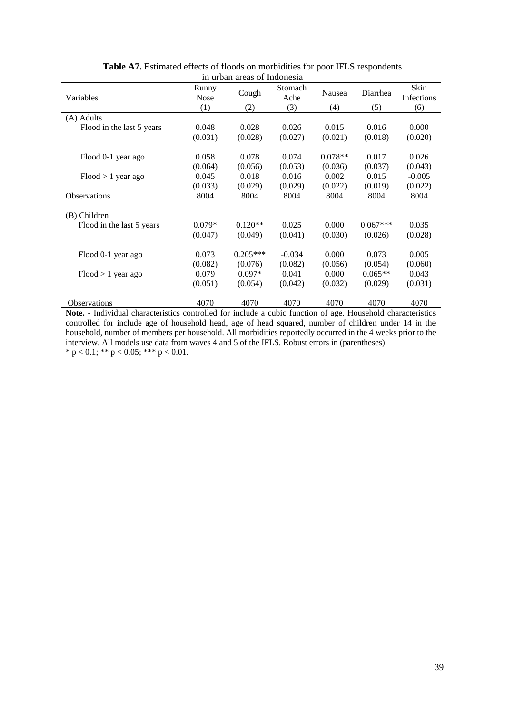| Variables                 | Runny<br><b>Nose</b><br>(1) | Cough<br>(2) | Stomach<br>Ache<br>(3) | Nausea<br>(4) | Diarrhea<br>(5) | Skin<br>Infections<br>(6) |
|---------------------------|-----------------------------|--------------|------------------------|---------------|-----------------|---------------------------|
| (A) Adults                |                             |              |                        |               |                 |                           |
| Flood in the last 5 years | 0.048                       | 0.028        | 0.026                  | 0.015         | 0.016           | 0.000                     |
|                           | (0.031)                     | (0.028)      | (0.027)                | (0.021)       | (0.018)         | (0.020)                   |
| Flood 0-1 year ago        | 0.058                       | 0.078        | 0.074                  | $0.078**$     | 0.017           | 0.026                     |
|                           | (0.064)                     | (0.056)      | (0.053)                | (0.036)       | (0.037)         | (0.043)                   |
| $Flood > 1$ year ago      | 0.045                       | 0.018        | 0.016                  | 0.002         | 0.015           | $-0.005$                  |
|                           | (0.033)                     | (0.029)      | (0.029)                | (0.022)       | (0.019)         | (0.022)                   |
| <b>Observations</b>       | 8004                        | 8004         | 8004                   | 8004          | 8004            | 8004                      |
| (B) Children              |                             |              |                        |               |                 |                           |
| Flood in the last 5 years | $0.079*$                    | $0.120**$    | 0.025                  | 0.000         | $0.067***$      | 0.035                     |
|                           | (0.047)                     | (0.049)      | (0.041)                | (0.030)       | (0.026)         | (0.028)                   |
| Flood 0-1 year ago        | 0.073                       | $0.205***$   | $-0.034$               | 0.000         | 0.073           | 0.005                     |
|                           | (0.082)                     | (0.076)      | (0.082)                | (0.056)       | (0.054)         | (0.060)                   |
| $Flood > 1$ year ago      | 0.079                       | $0.097*$     | 0.041                  | 0.000         | $0.065**$       | 0.043                     |
|                           | (0.051)                     | (0.054)      | (0.042)                | (0.032)       | (0.029)         | (0.031)                   |
| <b>Observations</b>       | 4070                        | 4070         | 4070                   | 4070          | 4070            | 4070                      |

**Table A7.** Estimated effects of floods on morbidities for poor IFLS respondents in urban areas of Indonesia

**Note.** - Individual characteristics controlled for include a cubic function of age. Household characteristics controlled for include age of household head, age of head squared, number of children under 14 in the household, number of members per household. All morbidities reportedly occurred in the 4 weeks prior to the interview. All models use data from waves 4 and 5 of the IFLS. Robust errors in (parentheses). \*  $p < 0.1$ ; \*\*  $p < 0.05$ ; \*\*\*  $p < 0.01$ .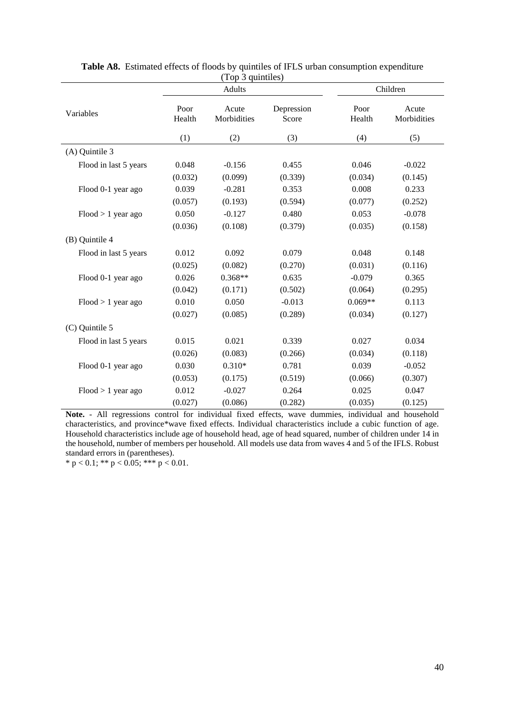|                       | Adults         |                      | Children            |                |                      |
|-----------------------|----------------|----------------------|---------------------|----------------|----------------------|
| Variables             | Poor<br>Health | Acute<br>Morbidities | Depression<br>Score | Poor<br>Health | Acute<br>Morbidities |
|                       | (1)            | (2)                  | (3)                 | (4)            | (5)                  |
| (A) Quintile 3        |                |                      |                     |                |                      |
| Flood in last 5 years | 0.048          | $-0.156$             | 0.455               | 0.046          | $-0.022$             |
|                       | (0.032)        | (0.099)              | (0.339)             | (0.034)        | (0.145)              |
| Flood 0-1 year ago    | 0.039          | $-0.281$             | 0.353               | 0.008          | 0.233                |
|                       | (0.057)        | (0.193)              | (0.594)             | (0.077)        | (0.252)              |
| $Flood > 1$ year ago  | 0.050          | $-0.127$             | 0.480               | 0.053          | $-0.078$             |
|                       | (0.036)        | (0.108)              | (0.379)             | (0.035)        | (0.158)              |
| (B) Quintile 4        |                |                      |                     |                |                      |
| Flood in last 5 years | 0.012          | 0.092                | 0.079               | 0.048          | 0.148                |
|                       | (0.025)        | (0.082)              | (0.270)             | (0.031)        | (0.116)              |
| Flood 0-1 year ago    | 0.026          | $0.368**$            | 0.635               | $-0.079$       | 0.365                |
|                       | (0.042)        | (0.171)              | (0.502)             | (0.064)        | (0.295)              |
| $Flood > 1$ year ago  | 0.010          | 0.050                | $-0.013$            | $0.069**$      | 0.113                |
|                       | (0.027)        | (0.085)              | (0.289)             | (0.034)        | (0.127)              |
| (C) Quintile 5        |                |                      |                     |                |                      |
| Flood in last 5 years | 0.015          | 0.021                | 0.339               | 0.027          | 0.034                |
|                       | (0.026)        | (0.083)              | (0.266)             | (0.034)        | (0.118)              |
| Flood 0-1 year ago    | 0.030          | $0.310*$             | 0.781               | 0.039          | $-0.052$             |
|                       | (0.053)        | (0.175)              | (0.519)             | (0.066)        | (0.307)              |
| $Flood > 1$ year ago  | 0.012          | $-0.027$             | 0.264               | 0.025          | 0.047                |
|                       | (0.027)        | (0.086)              | (0.282)             | (0.035)        | (0.125)              |

**Table A8.** Estimated effects of floods by quintiles of IFLS urban consumption expenditure (Top 3 quintiles)

**Note.** - All regressions control for individual fixed effects, wave dummies, individual and household characteristics, and province\*wave fixed effects. Individual characteristics include a cubic function of age. Household characteristics include age of household head, age of head squared, number of children under 14 in the household, number of members per household. All models use data from waves 4 and 5 of the IFLS. Robust standard errors in (parentheses).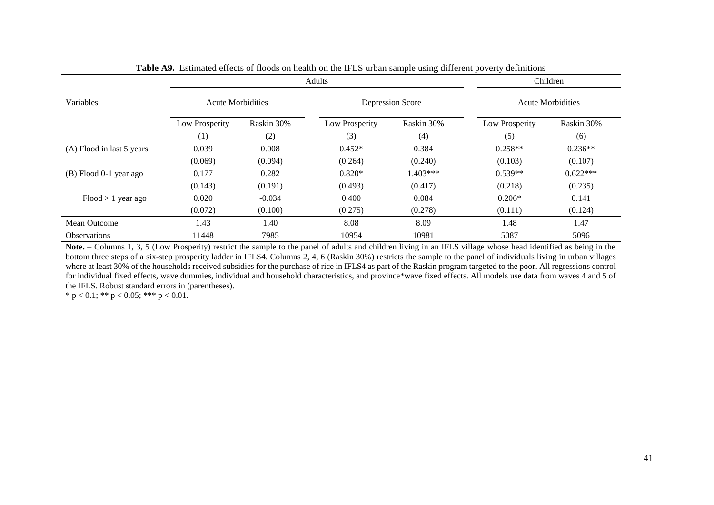|                           |                |                          | Adults         |                  | Children       |                          |  |  |
|---------------------------|----------------|--------------------------|----------------|------------------|----------------|--------------------------|--|--|
| Variables                 |                | <b>Acute Morbidities</b> |                | Depression Score |                | <b>Acute Morbidities</b> |  |  |
|                           | Low Prosperity | Raskin 30%               | Low Prosperity | Raskin 30%       | Low Prosperity | Raskin 30%               |  |  |
|                           | (1)            | (2)                      | (3)            | (4)              | (5)            | (6)                      |  |  |
| (A) Flood in last 5 years | 0.039          | 0.008                    | $0.452*$       | 0.384            | $0.258**$      | $0.236**$                |  |  |
|                           | (0.069)        | (0.094)                  | (0.264)        | (0.240)          | (0.103)        | (0.107)                  |  |  |
| (B) Flood 0-1 year ago    | 0.177          | 0.282                    | $0.820*$       | $1.403***$       | $0.539**$      | $0.622***$               |  |  |
|                           | (0.143)        | (0.191)                  | (0.493)        | (0.417)          | (0.218)        | (0.235)                  |  |  |
| $Flood > 1$ year ago      | 0.020          | $-0.034$                 | 0.400          | 0.084            | $0.206*$       | 0.141                    |  |  |
|                           | (0.072)        | (0.100)                  | (0.275)        | (0.278)          | (0.111)        | (0.124)                  |  |  |
| Mean Outcome              | 1.43           | 1.40                     | 8.08           | 8.09             | 1.48           | 1.47                     |  |  |
| <b>Observations</b>       | 11448          | 7985                     | 10954          | 10981            | 5087           | 5096                     |  |  |

**Table A9.** Estimated effects of floods on health on the IFLS urban sample using different poverty definitions

**Note.** – Columns 1, 3, 5 (Low Prosperity) restrict the sample to the panel of adults and children living in an IFLS village whose head identified as being in the bottom three steps of a six-step prosperity ladder in IFLS4. Columns 2, 4, 6 (Raskin 30%) restricts the sample to the panel of individuals living in urban villages where at least 30% of the households received subsidies for the purchase of rice in IFLS4 as part of the Raskin program targeted to the poor. All regressions control for individual fixed effects, wave dummies, individual and household characteristics, and province\*wave fixed effects. All models use data from waves 4 and 5 of the IFLS. Robust standard errors in (parentheses).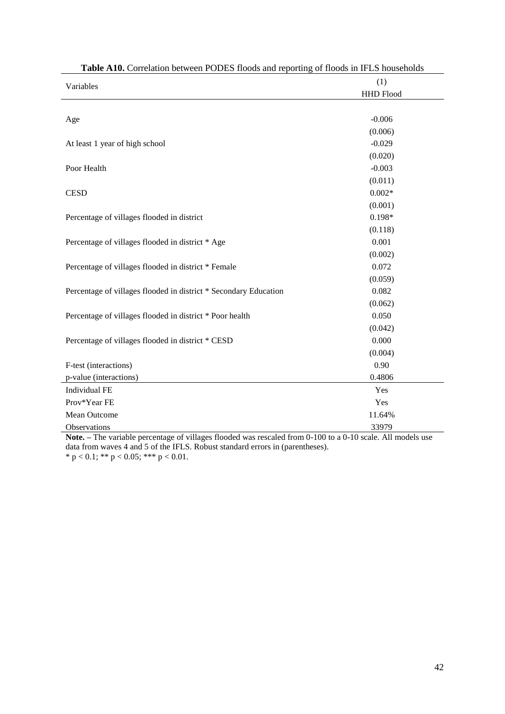| <b>Table A10.</b> Correlation between PODES floods and reporting of floods in IFLS households |                  |  |  |  |
|-----------------------------------------------------------------------------------------------|------------------|--|--|--|
| Variables                                                                                     | (1)              |  |  |  |
|                                                                                               | <b>HHD Flood</b> |  |  |  |
|                                                                                               |                  |  |  |  |
| Age                                                                                           | $-0.006$         |  |  |  |
|                                                                                               | (0.006)          |  |  |  |
| At least 1 year of high school                                                                | $-0.029$         |  |  |  |
|                                                                                               | (0.020)          |  |  |  |
| Poor Health                                                                                   | $-0.003$         |  |  |  |
|                                                                                               | (0.011)          |  |  |  |
| <b>CESD</b>                                                                                   | $0.002*$         |  |  |  |
|                                                                                               | (0.001)          |  |  |  |
| Percentage of villages flooded in district                                                    | $0.198*$         |  |  |  |
|                                                                                               | (0.118)          |  |  |  |
| Percentage of villages flooded in district * Age                                              | 0.001            |  |  |  |
|                                                                                               | (0.002)          |  |  |  |
| Percentage of villages flooded in district * Female                                           | 0.072            |  |  |  |
|                                                                                               | (0.059)          |  |  |  |
| Percentage of villages flooded in district * Secondary Education                              | 0.082            |  |  |  |
|                                                                                               | (0.062)          |  |  |  |
| Percentage of villages flooded in district * Poor health                                      | 0.050            |  |  |  |
|                                                                                               | (0.042)          |  |  |  |
| Percentage of villages flooded in district * CESD                                             | 0.000            |  |  |  |
|                                                                                               | (0.004)          |  |  |  |
| F-test (interactions)                                                                         | 0.90             |  |  |  |
| p-value (interactions)                                                                        | 0.4806           |  |  |  |
| Individual FE                                                                                 | Yes              |  |  |  |
| Prov*Year FE                                                                                  | Yes              |  |  |  |
| Mean Outcome                                                                                  | 11.64%           |  |  |  |
| Observations                                                                                  | 33979            |  |  |  |

**Table A10.** Correlation between PODES floods and reporting of floods in IFLS households

**Note. –** The variable percentage of villages flooded was rescaled from 0-100 to a 0-10 scale. All models use data from waves 4 and 5 of the IFLS. Robust standard errors in (parentheses).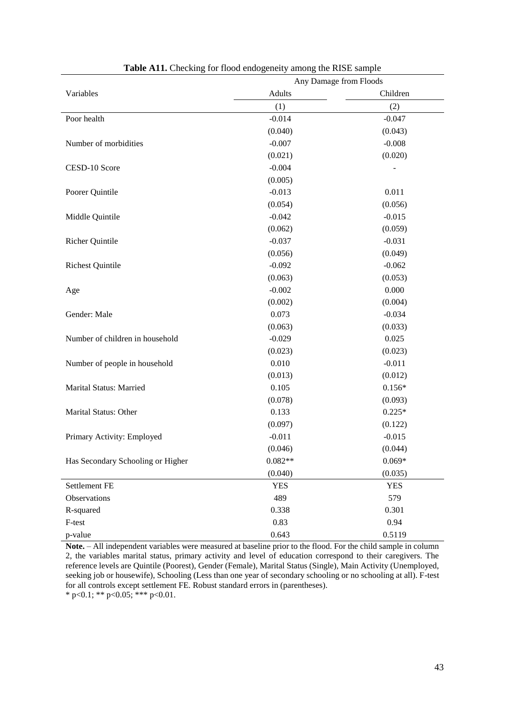|                                   | ° -<br>Any Damage from Floods |            |  |
|-----------------------------------|-------------------------------|------------|--|
| Variables                         | Adults                        | Children   |  |
|                                   | (1)                           | (2)        |  |
| Poor health                       | $-0.014$                      | $-0.047$   |  |
|                                   | (0.040)                       | (0.043)    |  |
| Number of morbidities             | $-0.007$                      | $-0.008$   |  |
|                                   | (0.021)                       | (0.020)    |  |
| CESD-10 Score                     | $-0.004$                      |            |  |
|                                   | (0.005)                       |            |  |
| Poorer Quintile                   | $-0.013$                      | 0.011      |  |
|                                   | (0.054)                       | (0.056)    |  |
| Middle Quintile                   | $-0.042$                      | $-0.015$   |  |
|                                   | (0.062)                       | (0.059)    |  |
| <b>Richer Quintile</b>            | $-0.037$                      | $-0.031$   |  |
|                                   | (0.056)                       | (0.049)    |  |
| <b>Richest Quintile</b>           | $-0.092$                      | $-0.062$   |  |
|                                   | (0.063)                       | (0.053)    |  |
| Age                               | $-0.002$                      | 0.000      |  |
|                                   | (0.002)                       | (0.004)    |  |
| Gender: Male                      | 0.073                         | $-0.034$   |  |
|                                   | (0.063)                       | (0.033)    |  |
| Number of children in household   | $-0.029$                      | 0.025      |  |
|                                   | (0.023)                       | (0.023)    |  |
| Number of people in household     | 0.010                         | $-0.011$   |  |
|                                   | (0.013)                       | (0.012)    |  |
| Marital Status: Married           | 0.105                         | $0.156*$   |  |
|                                   | (0.078)                       | (0.093)    |  |
| Marital Status: Other             | 0.133                         | $0.225*$   |  |
|                                   | (0.097)                       | (0.122)    |  |
| Primary Activity: Employed        | $-0.011$                      | $-0.015$   |  |
|                                   | (0.046)                       | (0.044)    |  |
| Has Secondary Schooling or Higher | $0.082**$                     | $0.069*$   |  |
|                                   | (0.040)                       | (0.035)    |  |
| Settlement FE                     | <b>YES</b>                    | <b>YES</b> |  |
| Observations                      | 489                           | 579        |  |
| R-squared                         | 0.338                         | 0.301      |  |
| F-test                            | 0.83                          | 0.94       |  |
| p-value                           | 0.643                         | 0.5119     |  |

**Table A11.** Checking for flood endogeneity among the RISE sample

**Note.** – All independent variables were measured at baseline prior to the flood. For the child sample in column 2, the variables marital status, primary activity and level of education correspond to their caregivers. The reference levels are Quintile (Poorest), Gender (Female), Marital Status (Single), Main Activity (Unemployed, seeking job or housewife), Schooling (Less than one year of secondary schooling or no schooling at all). F-test for all controls except settlement FE. Robust standard errors in (parentheses).